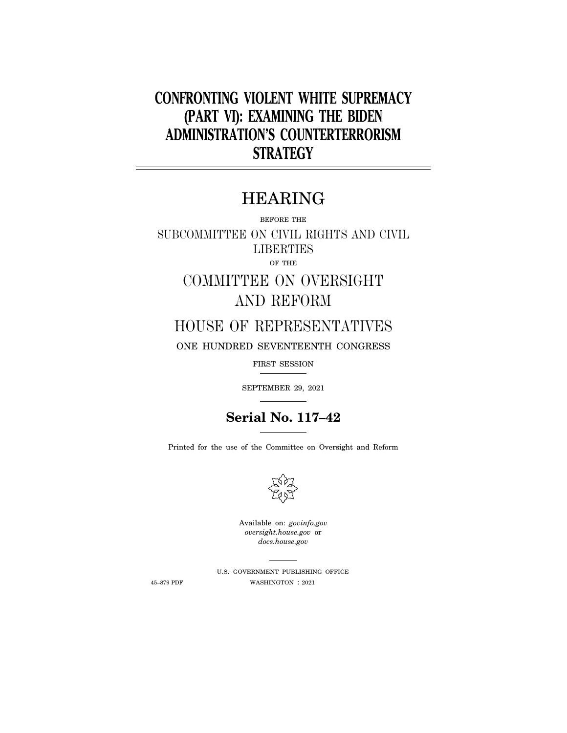# **CONFRONTING VIOLENT WHITE SUPREMACY (PART VI): EXAMINING THE BIDEN ADMINISTRATION'S COUNTERTERRORISM STRATEGY**

# HEARING

BEFORE THE

SUBCOMMITTEE ON CIVIL RIGHTS AND CIVIL **LIBERTIES** OF THE

> COMMITTEE ON OVERSIGHT AND REFORM

## HOUSE OF REPRESENTATIVES

ONE HUNDRED SEVENTEENTH CONGRESS

FIRST SESSION

SEPTEMBER 29, 2021

## **Serial No. 117–42**

Printed for the use of the Committee on Oversight and Reform



Available on: *govinfo.gov oversight.house.gov* or *docs.house.gov* 

U.S. GOVERNMENT PUBLISHING OFFICE 45–879 PDF WASHINGTON : 2021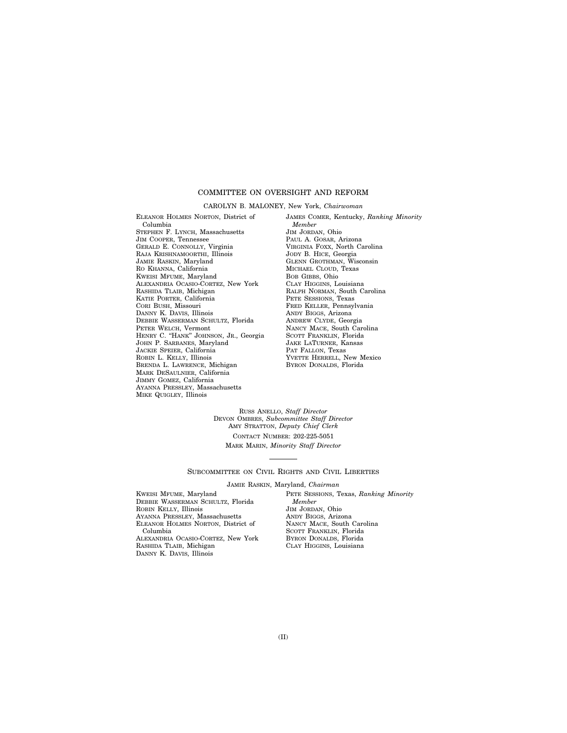#### COMMITTEE ON OVERSIGHT AND REFORM

#### CAROLYN B. MALONEY, New York, *Chairwoman*

ELEANOR HOLMES NORTON, District of Columbia STEPHEN F. LYNCH, Massachusetts JIM COOPER, Tennessee GERALD E. CONNOLLY, Virginia RAJA KRISHNAMOORTHI, Illinois JAMIE RASKIN, Maryland RO KHANNA, California KWEISI MFUME, Maryland ALEXANDRIA OCASIO-CORTEZ, New York RASHIDA TLAIB, Michigan KATIE PORTER, California CORI BUSH, Missouri DANNY K. DAVIS, Illinois DEBBIE WASSERMAN SCHULTZ, Florida PETER WELCH, Vermont HENRY C. "HANK" JOHNSON, JR., Georgia JOHN P. SARBANES, Maryland JACKIE SPEIER, California ROBIN L. KELLY, Illinois BRENDA L. LAWRENCE, Michigan MARK DESAULNIER, California JIMMY GOMEZ, California AYANNA PRESSLEY, Massachusetts MIKE QUIGLEY, Illinois

JAMES COMER, Kentucky, *Ranking Minority Member*  JIM JORDAN, Ohio PAUL A. GOSAR, Arizona VIRGINIA FOXX, North Carolina JODY B. HICE, Georgia GLENN GROTHMAN, Wisconsin MICHAEL CLOUD, Texas BOB GIBBS, Ohio CLAY HIGGINS, Louisiana RALPH NORMAN, South Carolina PETE SESSIONS, Texas FRED KELLER, Pennsylvania ANDY BIGGS, Arizona ANDREW CLYDE, Georgia NANCY MACE, South Carolina SCOTT FRANKLIN, Florida JAKE LATURNER, Kansas PAT FALLON, Texas YVETTE HERRELL, New Mexico BYRON DONALDS, Florida

RUSS ANELLO, *Staff Director*  DEVON OMBRES, *Subcommittee Staff Director*  AMY STRATTON, *Deputy Chief Clerk* 

CONTACT NUMBER: 202-225-5051 MARK MARIN, *Minority Staff Director* 

SUBCOMMITTEE ON CIVIL RIGHTS AND CIVIL LIBERTIES

JAMIE RASKIN, Maryland, *Chairman* 

KWEISI MFUME, Maryland DEBBIE WASSERMAN SCHULTZ, Florida ROBIN KELLY, Illinois AYANNA PRESSLEY, Massachusetts ELEANOR HOLMES NORTON, District of Columbia ALEXANDRIA OCASIO-CORTEZ, New York RASHIDA TLAIB, Michigan DANNY K. DAVIS, Illinois

PETE SESSIONS, Texas, *Ranking Minority Member*  JIM JORDAN, Ohio ANDY BIGGS, Arizona NANCY MACE, South Carolina SCOTT FRANKLIN, Florida BYRON DONALDS, Florida CLAY HIGGINS, Louisiana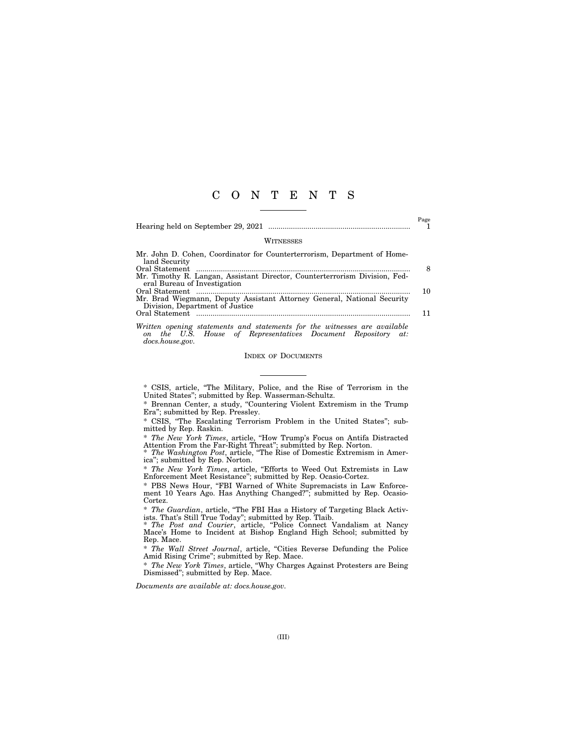### C O N T E N T S

|                                                                                                            | Page |
|------------------------------------------------------------------------------------------------------------|------|
| <b>WITNESSES</b>                                                                                           |      |
| Mr. John D. Cohen, Coordinator for Counterterrorism, Department of Home-<br>land Security                  |      |
| Mr. Timothy R. Langan, Assistant Director, Counterterrorism Division, Fed-<br>eral Bureau of Investigation | 8    |
| Mr. Brad Wiegmann, Deputy Assistant Attorney General, National Security                                    | 10   |
| Division, Department of Justice                                                                            |      |
| Written opening etatemente and etatemente for the witnessee are quailable                                  |      |

*Written opening statements and statements for the witnesses are available on the U.S. House of Representatives Document Repository at: docs.house.gov.* 

#### INDEX OF DOCUMENTS

\* CSIS, article, ''The Military, Police, and the Rise of Terrorism in the United States"; submitted by Rep. Wasserman-Schultz.

\* Brennan Center, a study, ''Countering Violent Extremism in the Trump Era''; submitted by Rep. Pressley.

\* CSIS, ''The Escalating Terrorism Problem in the United States''; submitted by Rep. Raskin.

\* *The New York Times*, article, ''How Trump's Focus on Antifa Distracted Attention From the Far-Right Threat''; submitted by Rep. Norton.

\* *The Washington Post*, article, ''The Rise of Domestic Extremism in America''; submitted by Rep. Norton.

\* *The New York Times*, article, ''Efforts to Weed Out Extremists in Law Enforcement Meet Resistance''; submitted by Rep. Ocasio-Cortez.

\* PBS News Hour, ''FBI Warned of White Supremacists in Law Enforcement 10 Years Ago. Has Anything Changed?''; submitted by Rep. Ocasio-Cortez.

\* *The Guardian*, article, ''The FBI Has a History of Targeting Black Activists. That's Still True Today''; submitted by Rep. Tlaib.

\* *The Post and Courier*, article, ''Police Connect Vandalism at Nancy Mace's Home to Incident at Bishop England High School; submitted by Rep. Mace.

\* *The Wall Street Journal*, article, ''Cities Reverse Defunding the Police Amid Rising Crime''; submitted by Rep. Mace.

\* *The New York Times*, article, ''Why Charges Against Protesters are Being Dismissed''; submitted by Rep. Mace.

*Documents are available at: docs.house.gov.*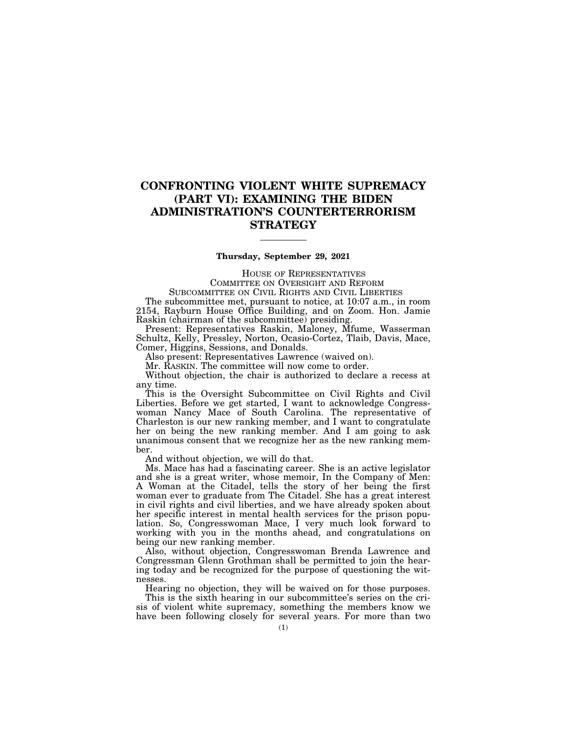### **CONFRONTING VIOLENT WHITE SUPREMACY (PART VI): EXAMINING THE BIDEN ADMINISTRATION'S COUNTERTERRORISM STRATEGY**

#### **Thursday, September 29, 2021**

HOUSE OF REPRESENTATIVES COMMITTEE ON OVERSIGHT AND REFORM

SUBCOMMITTEE ON CIVIL RIGHTS AND CIVIL LIBERTIES

The subcommittee met, pursuant to notice, at 10:07 a.m., in room 2154, Rayburn House Office Building, and on Zoom. Hon. Jamie Raskin (chairman of the subcommittee) presiding.

Present: Representatives Raskin, Maloney, Mfume, Wasserman Schultz, Kelly, Pressley, Norton, Ocasio-Cortez, Tlaib, Davis, Mace, Comer, Higgins, Sessions, and Donalds.

Also present: Representatives Lawrence (waived on).

Mr. RASKIN. The committee will now come to order.

Without objection, the chair is authorized to declare a recess at any time.

This is the Oversight Subcommittee on Civil Rights and Civil Liberties. Before we get started, I want to acknowledge Congresswoman Nancy Mace of South Carolina. The representative of Charleston is our new ranking member, and I want to congratulate her on being the new ranking member. And I am going to ask unanimous consent that we recognize her as the new ranking member.

And without objection, we will do that.

Ms. Mace has had a fascinating career. She is an active legislator and she is a great writer, whose memoir, In the Company of Men: A Woman at the Citadel, tells the story of her being the first woman ever to graduate from The Citadel. She has a great interest in civil rights and civil liberties, and we have already spoken about her specific interest in mental health services for the prison population. So, Congresswoman Mace, I very much look forward to working with you in the months ahead, and congratulations on being our new ranking member.

Also, without objection, Congresswoman Brenda Lawrence and Congressman Glenn Grothman shall be permitted to join the hearing today and be recognized for the purpose of questioning the witnesses.

Hearing no objection, they will be waived on for those purposes.

This is the sixth hearing in our subcommittee's series on the crisis of violent white supremacy, something the members know we have been following closely for several years. For more than two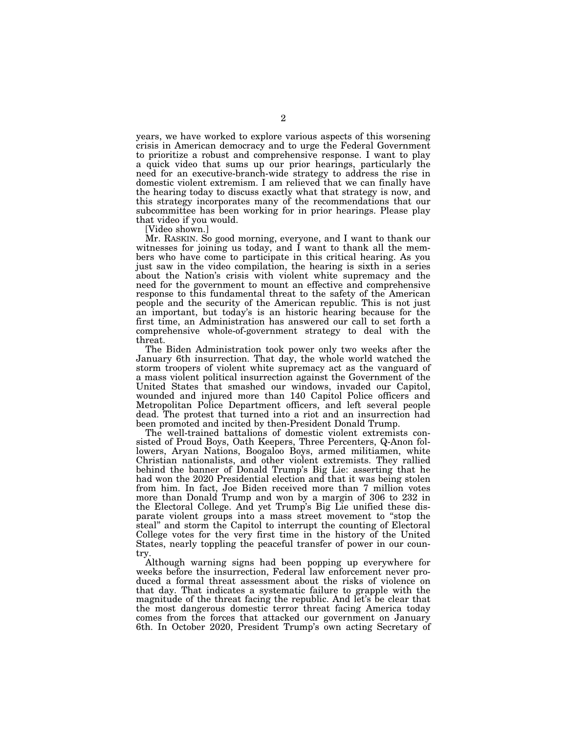years, we have worked to explore various aspects of this worsening crisis in American democracy and to urge the Federal Government to prioritize a robust and comprehensive response. I want to play a quick video that sums up our prior hearings, particularly the need for an executive-branch-wide strategy to address the rise in domestic violent extremism. I am relieved that we can finally have the hearing today to discuss exactly what that strategy is now, and this strategy incorporates many of the recommendations that our subcommittee has been working for in prior hearings. Please play that video if you would.

[Video shown.]

Mr. RASKIN. So good morning, everyone, and I want to thank our witnesses for joining us today, and I want to thank all the members who have come to participate in this critical hearing. As you just saw in the video compilation, the hearing is sixth in a series about the Nation's crisis with violent white supremacy and the need for the government to mount an effective and comprehensive response to this fundamental threat to the safety of the American people and the security of the American republic. This is not just an important, but today's is an historic hearing because for the first time, an Administration has answered our call to set forth a comprehensive whole-of-government strategy to deal with the threat.

The Biden Administration took power only two weeks after the January 6th insurrection. That day, the whole world watched the storm troopers of violent white supremacy act as the vanguard of a mass violent political insurrection against the Government of the United States that smashed our windows, invaded our Capitol, wounded and injured more than 140 Capitol Police officers and Metropolitan Police Department officers, and left several people dead. The protest that turned into a riot and an insurrection had been promoted and incited by then-President Donald Trump.

The well-trained battalions of domestic violent extremists consisted of Proud Boys, Oath Keepers, Three Percenters, Q-Anon followers, Aryan Nations, Boogaloo Boys, armed militiamen, white Christian nationalists, and other violent extremists. They rallied behind the banner of Donald Trump's Big Lie: asserting that he had won the 2020 Presidential election and that it was being stolen from him. In fact, Joe Biden received more than 7 million votes more than Donald Trump and won by a margin of 306 to 232 in the Electoral College. And yet Trump's Big Lie unified these disparate violent groups into a mass street movement to ''stop the steal'' and storm the Capitol to interrupt the counting of Electoral College votes for the very first time in the history of the United States, nearly toppling the peaceful transfer of power in our country.

Although warning signs had been popping up everywhere for weeks before the insurrection, Federal law enforcement never produced a formal threat assessment about the risks of violence on that day. That indicates a systematic failure to grapple with the magnitude of the threat facing the republic. And let's be clear that the most dangerous domestic terror threat facing America today comes from the forces that attacked our government on January 6th. In October 2020, President Trump's own acting Secretary of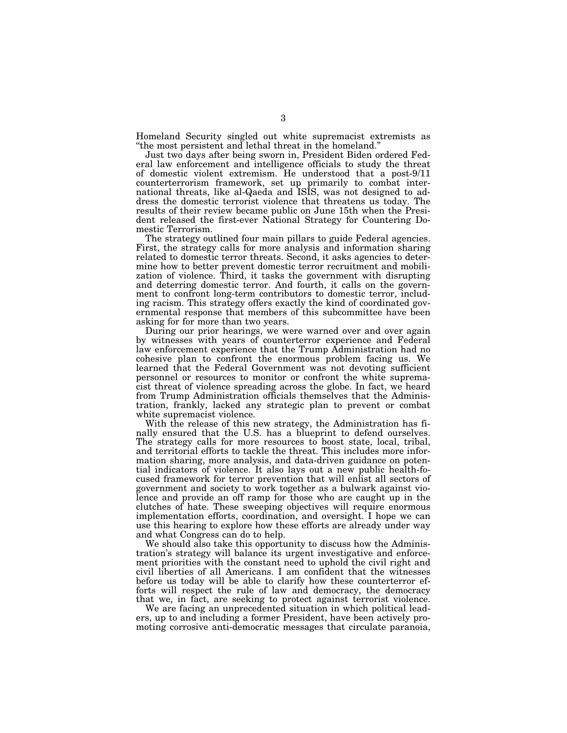Homeland Security singled out white supremacist extremists as ''the most persistent and lethal threat in the homeland.''

Just two days after being sworn in, President Biden ordered Federal law enforcement and intelligence officials to study the threat of domestic violent extremism. He understood that a post-9/11 counterterrorism framework, set up primarily to combat international threats, like al-Qaeda and ISIS, was not designed to address the domestic terrorist violence that threatens us today. The results of their review became public on June 15th when the President released the first-ever National Strategy for Countering Domestic Terrorism.

The strategy outlined four main pillars to guide Federal agencies. First, the strategy calls for more analysis and information sharing related to domestic terror threats. Second, it asks agencies to determine how to better prevent domestic terror recruitment and mobilization of violence. Third, it tasks the government with disrupting and deterring domestic terror. And fourth, it calls on the government to confront long-term contributors to domestic terror, including racism. This strategy offers exactly the kind of coordinated governmental response that members of this subcommittee have been asking for for more than two years.

During our prior hearings, we were warned over and over again by witnesses with years of counterterror experience and Federal law enforcement experience that the Trump Administration had no cohesive plan to confront the enormous problem facing us. We learned that the Federal Government was not devoting sufficient personnel or resources to monitor or confront the white supremacist threat of violence spreading across the globe. In fact, we heard from Trump Administration officials themselves that the Administration, frankly, lacked any strategic plan to prevent or combat white supremacist violence.

With the release of this new strategy, the Administration has finally ensured that the U.S. has a blueprint to defend ourselves. The strategy calls for more resources to boost state, local, tribal, and territorial efforts to tackle the threat. This includes more information sharing, more analysis, and data-driven guidance on potential indicators of violence. It also lays out a new public health-focused framework for terror prevention that will enlist all sectors of government and society to work together as a bulwark against violence and provide an off ramp for those who are caught up in the clutches of hate. These sweeping objectives will require enormous implementation efforts, coordination, and oversight. I hope we can use this hearing to explore how these efforts are already under way and what Congress can do to help.

We should also take this opportunity to discuss how the Administration's strategy will balance its urgent investigative and enforcement priorities with the constant need to uphold the civil right and civil liberties of all Americans. I am confident that the witnesses before us today will be able to clarify how these counterterror efforts will respect the rule of law and democracy, the democracy that we, in fact, are seeking to protect against terrorist violence.

We are facing an unprecedented situation in which political leaders, up to and including a former President, have been actively promoting corrosive anti-democratic messages that circulate paranoia,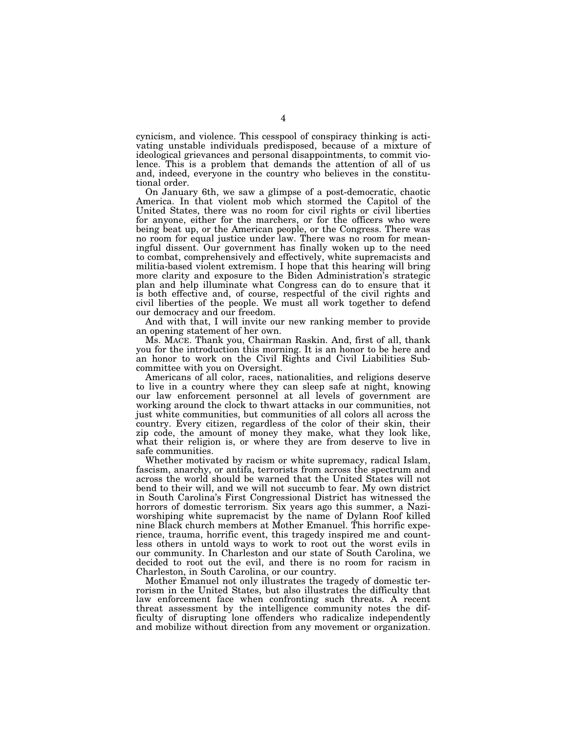cynicism, and violence. This cesspool of conspiracy thinking is activating unstable individuals predisposed, because of a mixture of ideological grievances and personal disappointments, to commit violence. This is a problem that demands the attention of all of us and, indeed, everyone in the country who believes in the constitutional order.

On January 6th, we saw a glimpse of a post-democratic, chaotic America. In that violent mob which stormed the Capitol of the United States, there was no room for civil rights or civil liberties for anyone, either for the marchers, or for the officers who were being beat up, or the American people, or the Congress. There was no room for equal justice under law. There was no room for meaningful dissent. Our government has finally woken up to the need to combat, comprehensively and effectively, white supremacists and militia-based violent extremism. I hope that this hearing will bring more clarity and exposure to the Biden Administration's strategic plan and help illuminate what Congress can do to ensure that it is both effective and, of course, respectful of the civil rights and civil liberties of the people. We must all work together to defend our democracy and our freedom.

And with that, I will invite our new ranking member to provide an opening statement of her own.

Ms. MACE. Thank you, Chairman Raskin. And, first of all, thank you for the introduction this morning. It is an honor to be here and an honor to work on the Civil Rights and Civil Liabilities Subcommittee with you on Oversight.

Americans of all color, races, nationalities, and religions deserve to live in a country where they can sleep safe at night, knowing our law enforcement personnel at all levels of government are working around the clock to thwart attacks in our communities, not just white communities, but communities of all colors all across the country. Every citizen, regardless of the color of their skin, their zip code, the amount of money they make, what they look like, what their religion is, or where they are from deserve to live in safe communities.

Whether motivated by racism or white supremacy, radical Islam, fascism, anarchy, or antifa, terrorists from across the spectrum and across the world should be warned that the United States will not bend to their will, and we will not succumb to fear. My own district in South Carolina's First Congressional District has witnessed the horrors of domestic terrorism. Six years ago this summer, a Naziworshiping white supremacist by the name of Dylann Roof killed nine Black church members at Mother Emanuel. This horrific experience, trauma, horrific event, this tragedy inspired me and countless others in untold ways to work to root out the worst evils in our community. In Charleston and our state of South Carolina, we decided to root out the evil, and there is no room for racism in Charleston, in South Carolina, or our country.

Mother Emanuel not only illustrates the tragedy of domestic terrorism in the United States, but also illustrates the difficulty that law enforcement face when confronting such threats. A recent threat assessment by the intelligence community notes the difficulty of disrupting lone offenders who radicalize independently and mobilize without direction from any movement or organization.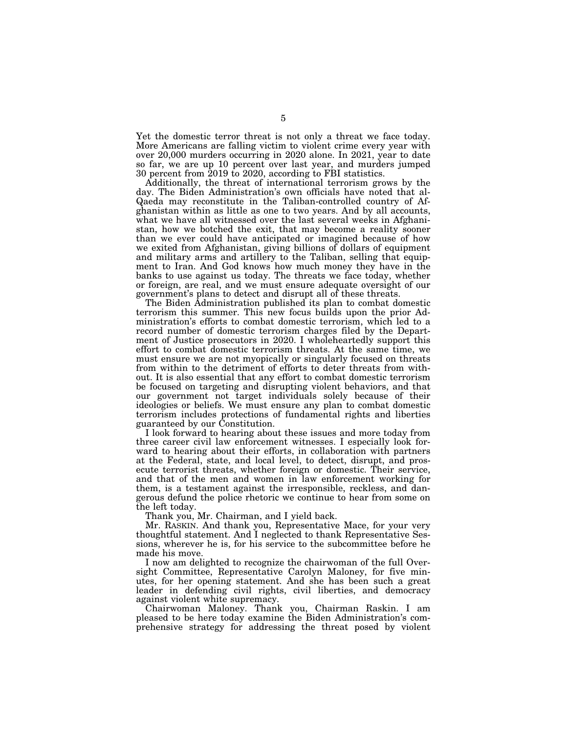Yet the domestic terror threat is not only a threat we face today. More Americans are falling victim to violent crime every year with over 20,000 murders occurring in 2020 alone. In 2021, year to date so far, we are up 10 percent over last year, and murders jumped 30 percent from 2019 to 2020, according to FBI statistics.

Additionally, the threat of international terrorism grows by the day. The Biden Administration's own officials have noted that al-Qaeda may reconstitute in the Taliban-controlled country of Afghanistan within as little as one to two years. And by all accounts, what we have all witnessed over the last several weeks in Afghanistan, how we botched the exit, that may become a reality sooner than we ever could have anticipated or imagined because of how we exited from Afghanistan, giving billions of dollars of equipment and military arms and artillery to the Taliban, selling that equipment to Iran. And God knows how much money they have in the banks to use against us today. The threats we face today, whether or foreign, are real, and we must ensure adequate oversight of our government's plans to detect and disrupt all of these threats.

The Biden Administration published its plan to combat domestic terrorism this summer. This new focus builds upon the prior Administration's efforts to combat domestic terrorism, which led to a record number of domestic terrorism charges filed by the Department of Justice prosecutors in 2020. I wholeheartedly support this effort to combat domestic terrorism threats. At the same time, we must ensure we are not myopically or singularly focused on threats from within to the detriment of efforts to deter threats from without. It is also essential that any effort to combat domestic terrorism be focused on targeting and disrupting violent behaviors, and that our government not target individuals solely because of their ideologies or beliefs. We must ensure any plan to combat domestic terrorism includes protections of fundamental rights and liberties guaranteed by our Constitution.

I look forward to hearing about these issues and more today from three career civil law enforcement witnesses. I especially look forward to hearing about their efforts, in collaboration with partners at the Federal, state, and local level, to detect, disrupt, and prosecute terrorist threats, whether foreign or domestic. Their service, and that of the men and women in law enforcement working for them, is a testament against the irresponsible, reckless, and dangerous defund the police rhetoric we continue to hear from some on the left today.

Thank you, Mr. Chairman, and I yield back.

Mr. RASKIN. And thank you, Representative Mace, for your very thoughtful statement. And I neglected to thank Representative Sessions, wherever he is, for his service to the subcommittee before he made his move.

I now am delighted to recognize the chairwoman of the full Oversight Committee, Representative Carolyn Maloney, for five minutes, for her opening statement. And she has been such a great leader in defending civil rights, civil liberties, and democracy against violent white supremacy.

Chairwoman Maloney. Thank you, Chairman Raskin. I am pleased to be here today examine the Biden Administration's comprehensive strategy for addressing the threat posed by violent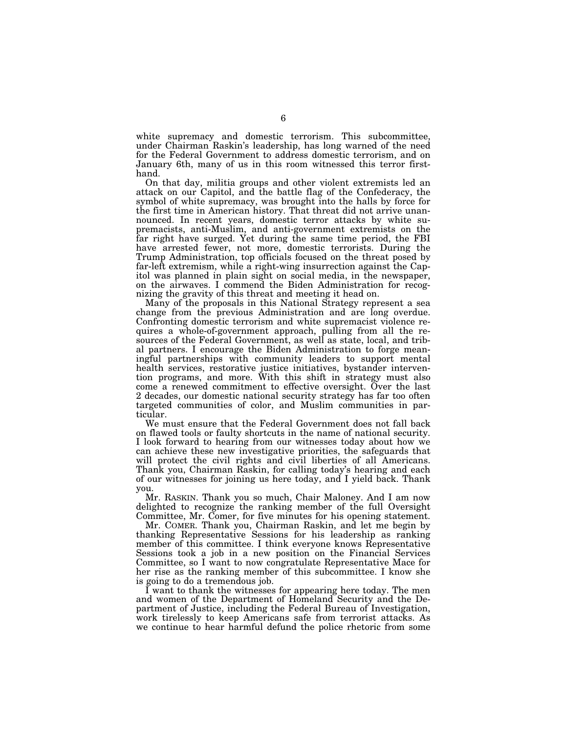white supremacy and domestic terrorism. This subcommittee, under Chairman Raskin's leadership, has long warned of the need for the Federal Government to address domestic terrorism, and on January 6th, many of us in this room witnessed this terror firsthand.

On that day, militia groups and other violent extremists led an attack on our Capitol, and the battle flag of the Confederacy, the symbol of white supremacy, was brought into the halls by force for the first time in American history. That threat did not arrive unannounced. In recent years, domestic terror attacks by white supremacists, anti-Muslim, and anti-government extremists on the far right have surged. Yet during the same time period, the FBI have arrested fewer, not more, domestic terrorists. During the Trump Administration, top officials focused on the threat posed by far-left extremism, while a right-wing insurrection against the Capitol was planned in plain sight on social media, in the newspaper, on the airwaves. I commend the Biden Administration for recognizing the gravity of this threat and meeting it head on.

Many of the proposals in this National Strategy represent a sea change from the previous Administration and are long overdue. Confronting domestic terrorism and white supremacist violence requires a whole-of-government approach, pulling from all the resources of the Federal Government, as well as state, local, and tribal partners. I encourage the Biden Administration to forge meaningful partnerships with community leaders to support mental health services, restorative justice initiatives, bystander intervention programs, and more. With this shift in strategy must also come a renewed commitment to effective oversight. Over the last 2 decades, our domestic national security strategy has far too often targeted communities of color, and Muslim communities in particular.

We must ensure that the Federal Government does not fall back on flawed tools or faulty shortcuts in the name of national security. I look forward to hearing from our witnesses today about how we can achieve these new investigative priorities, the safeguards that will protect the civil rights and civil liberties of all Americans. Thank you, Chairman Raskin, for calling today's hearing and each of our witnesses for joining us here today, and I yield back. Thank you.

Mr. RASKIN. Thank you so much, Chair Maloney. And I am now delighted to recognize the ranking member of the full Oversight Committee, Mr. Comer, for five minutes for his opening statement.

Mr. COMER. Thank you, Chairman Raskin, and let me begin by thanking Representative Sessions for his leadership as ranking member of this committee. I think everyone knows Representative Sessions took a job in a new position on the Financial Services Committee, so I want to now congratulate Representative Mace for her rise as the ranking member of this subcommittee. I know she is going to do a tremendous job.

I want to thank the witnesses for appearing here today. The men and women of the Department of Homeland Security and the Department of Justice, including the Federal Bureau of Investigation, work tirelessly to keep Americans safe from terrorist attacks. As we continue to hear harmful defund the police rhetoric from some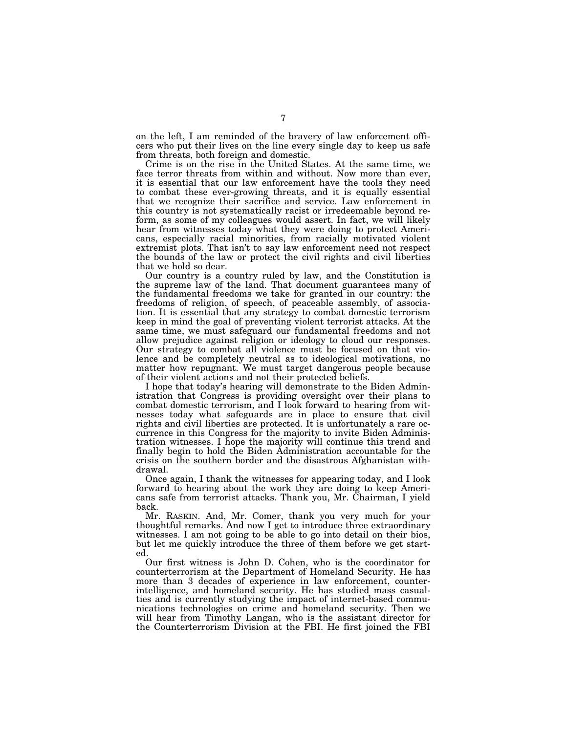on the left, I am reminded of the bravery of law enforcement officers who put their lives on the line every single day to keep us safe from threats, both foreign and domestic.

Crime is on the rise in the United States. At the same time, we face terror threats from within and without. Now more than ever, it is essential that our law enforcement have the tools they need to combat these ever-growing threats, and it is equally essential that we recognize their sacrifice and service. Law enforcement in this country is not systematically racist or irredeemable beyond reform, as some of my colleagues would assert. In fact, we will likely hear from witnesses today what they were doing to protect Americans, especially racial minorities, from racially motivated violent extremist plots. That isn't to say law enforcement need not respect the bounds of the law or protect the civil rights and civil liberties that we hold so dear.

Our country is a country ruled by law, and the Constitution is the supreme law of the land. That document guarantees many of the fundamental freedoms we take for granted in our country: the freedoms of religion, of speech, of peaceable assembly, of association. It is essential that any strategy to combat domestic terrorism keep in mind the goal of preventing violent terrorist attacks. At the same time, we must safeguard our fundamental freedoms and not allow prejudice against religion or ideology to cloud our responses. Our strategy to combat all violence must be focused on that violence and be completely neutral as to ideological motivations, no matter how repugnant. We must target dangerous people because of their violent actions and not their protected beliefs.

I hope that today's hearing will demonstrate to the Biden Administration that Congress is providing oversight over their plans to combat domestic terrorism, and I look forward to hearing from witnesses today what safeguards are in place to ensure that civil rights and civil liberties are protected. It is unfortunately a rare occurrence in this Congress for the majority to invite Biden Administration witnesses. I hope the majority will continue this trend and finally begin to hold the Biden Administration accountable for the crisis on the southern border and the disastrous Afghanistan withdrawal.

Once again, I thank the witnesses for appearing today, and I look forward to hearing about the work they are doing to keep Americans safe from terrorist attacks. Thank you, Mr. Chairman, I yield back.

Mr. RASKIN. And, Mr. Comer, thank you very much for your thoughtful remarks. And now I get to introduce three extraordinary witnesses. I am not going to be able to go into detail on their bios, but let me quickly introduce the three of them before we get started.

Our first witness is John D. Cohen, who is the coordinator for counterterrorism at the Department of Homeland Security. He has more than 3 decades of experience in law enforcement, counterintelligence, and homeland security. He has studied mass casualties and is currently studying the impact of internet-based communications technologies on crime and homeland security. Then we will hear from Timothy Langan, who is the assistant director for the Counterterrorism Division at the FBI. He first joined the FBI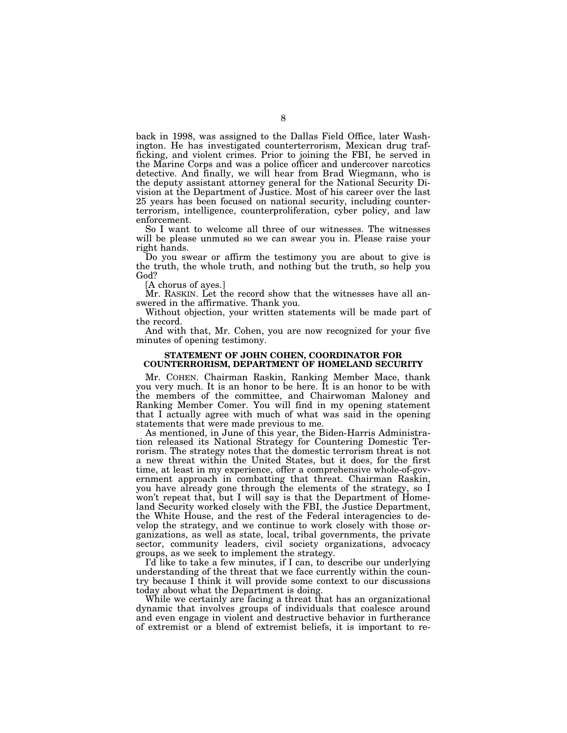back in 1998, was assigned to the Dallas Field Office, later Washington. He has investigated counterterrorism, Mexican drug trafficking, and violent crimes. Prior to joining the FBI, he served in the Marine Corps and was a police officer and undercover narcotics detective. And finally, we will hear from Brad Wiegmann, who is the deputy assistant attorney general for the National Security Division at the Department of Justice. Most of his career over the last 25 years has been focused on national security, including counterterrorism, intelligence, counterproliferation, cyber policy, and law enforcement.

So I want to welcome all three of our witnesses. The witnesses will be please unmuted so we can swear you in. Please raise your right hands.

Do you swear or affirm the testimony you are about to give is the truth, the whole truth, and nothing but the truth, so help you God?

[A chorus of ayes.]

Mr. RASKIN. Let the record show that the witnesses have all answered in the affirmative. Thank you.

Without objection, your written statements will be made part of the record.

And with that, Mr. Cohen, you are now recognized for your five minutes of opening testimony.

#### **STATEMENT OF JOHN COHEN, COORDINATOR FOR COUNTERRORISM, DEPARTMENT OF HOMELAND SECURITY**

Mr. COHEN. Chairman Raskin, Ranking Member Mace, thank you very much. It is an honor to be here. It is an honor to be with the members of the committee, and Chairwoman Maloney and Ranking Member Comer. You will find in my opening statement that I actually agree with much of what was said in the opening statements that were made previous to me.

As mentioned, in June of this year, the Biden-Harris Administration released its National Strategy for Countering Domestic Terrorism. The strategy notes that the domestic terrorism threat is not a new threat within the United States, but it does, for the first time, at least in my experience, offer a comprehensive whole-of-government approach in combatting that threat. Chairman Raskin, you have already gone through the elements of the strategy, so I won't repeat that, but I will say is that the Department of Homeland Security worked closely with the FBI, the Justice Department, the White House, and the rest of the Federal interagencies to develop the strategy, and we continue to work closely with those organizations, as well as state, local, tribal governments, the private sector, community leaders, civil society organizations, advocacy groups, as we seek to implement the strategy.

I'd like to take a few minutes, if I can, to describe our underlying understanding of the threat that we face currently within the country because I think it will provide some context to our discussions today about what the Department is doing.

While we certainly are facing a threat that has an organizational dynamic that involves groups of individuals that coalesce around and even engage in violent and destructive behavior in furtherance of extremist or a blend of extremist beliefs, it is important to re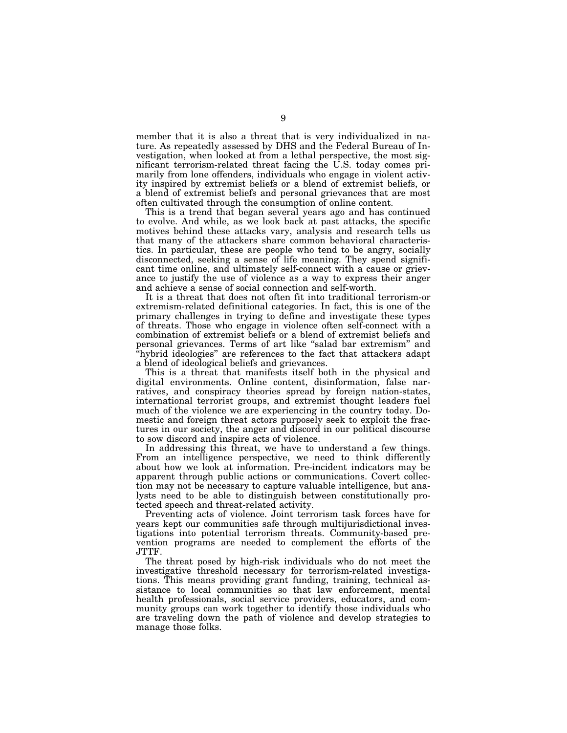member that it is also a threat that is very individualized in nature. As repeatedly assessed by DHS and the Federal Bureau of Investigation, when looked at from a lethal perspective, the most significant terrorism-related threat facing the U.S. today comes primarily from lone offenders, individuals who engage in violent activity inspired by extremist beliefs or a blend of extremist beliefs, or a blend of extremist beliefs and personal grievances that are most often cultivated through the consumption of online content.

This is a trend that began several years ago and has continued to evolve. And while, as we look back at past attacks, the specific motives behind these attacks vary, analysis and research tells us that many of the attackers share common behavioral characteristics. In particular, these are people who tend to be angry, socially disconnected, seeking a sense of life meaning. They spend significant time online, and ultimately self-connect with a cause or grievance to justify the use of violence as a way to express their anger and achieve a sense of social connection and self-worth.

It is a threat that does not often fit into traditional terrorism-or extremism-related definitional categories. In fact, this is one of the primary challenges in trying to define and investigate these types of threats. Those who engage in violence often self-connect with a combination of extremist beliefs or a blend of extremist beliefs and personal grievances. Terms of art like ''salad bar extremism'' and ''hybrid ideologies'' are references to the fact that attackers adapt a blend of ideological beliefs and grievances.

This is a threat that manifests itself both in the physical and digital environments. Online content, disinformation, false narratives, and conspiracy theories spread by foreign nation-states, international terrorist groups, and extremist thought leaders fuel much of the violence we are experiencing in the country today. Domestic and foreign threat actors purposely seek to exploit the fractures in our society, the anger and discord in our political discourse to sow discord and inspire acts of violence.

In addressing this threat, we have to understand a few things. From an intelligence perspective, we need to think differently about how we look at information. Pre-incident indicators may be apparent through public actions or communications. Covert collection may not be necessary to capture valuable intelligence, but analysts need to be able to distinguish between constitutionally protected speech and threat-related activity.

Preventing acts of violence. Joint terrorism task forces have for years kept our communities safe through multijurisdictional investigations into potential terrorism threats. Community-based prevention programs are needed to complement the efforts of the JTTF.

The threat posed by high-risk individuals who do not meet the investigative threshold necessary for terrorism-related investigations. This means providing grant funding, training, technical assistance to local communities so that law enforcement, mental health professionals, social service providers, educators, and community groups can work together to identify those individuals who are traveling down the path of violence and develop strategies to manage those folks.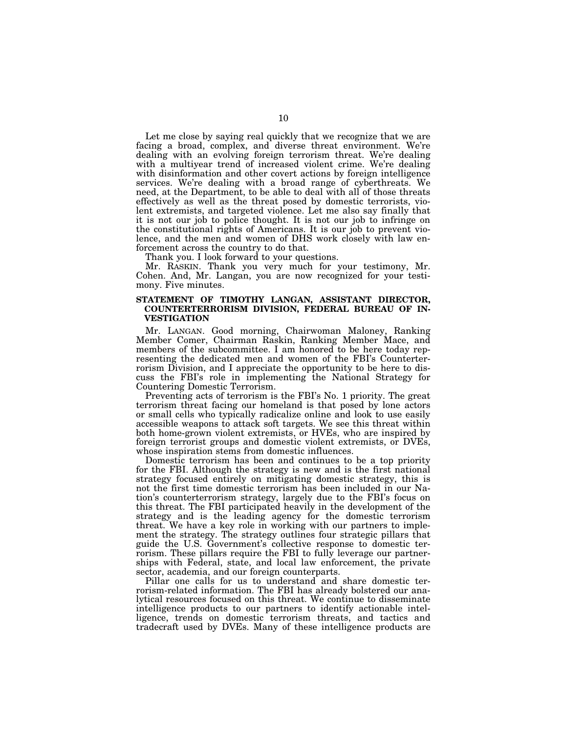Let me close by saying real quickly that we recognize that we are facing a broad, complex, and diverse threat environment. We're dealing with an evolving foreign terrorism threat. We're dealing with a multiyear trend of increased violent crime. We're dealing with disinformation and other covert actions by foreign intelligence services. We're dealing with a broad range of cyberthreats. We need, at the Department, to be able to deal with all of those threats effectively as well as the threat posed by domestic terrorists, violent extremists, and targeted violence. Let me also say finally that it is not our job to police thought. It is not our job to infringe on the constitutional rights of Americans. It is our job to prevent violence, and the men and women of DHS work closely with law enforcement across the country to do that.

Thank you. I look forward to your questions.

Mr. RASKIN. Thank you very much for your testimony, Mr. Cohen. And, Mr. Langan, you are now recognized for your testimony. Five minutes.

#### **STATEMENT OF TIMOTHY LANGAN, ASSISTANT DIRECTOR, COUNTERTERRORISM DIVISION, FEDERAL BUREAU OF IN-VESTIGATION**

Mr. LANGAN. Good morning, Chairwoman Maloney, Ranking Member Comer, Chairman Raskin, Ranking Member Mace, and members of the subcommittee. I am honored to be here today representing the dedicated men and women of the FBI's Counterterrorism Division, and I appreciate the opportunity to be here to discuss the FBI's role in implementing the National Strategy for Countering Domestic Terrorism.

Preventing acts of terrorism is the FBI's No. 1 priority. The great terrorism threat facing our homeland is that posed by lone actors or small cells who typically radicalize online and look to use easily accessible weapons to attack soft targets. We see this threat within both home-grown violent extremists, or HVEs, who are inspired by foreign terrorist groups and domestic violent extremists, or DVEs, whose inspiration stems from domestic influences.

Domestic terrorism has been and continues to be a top priority for the FBI. Although the strategy is new and is the first national strategy focused entirely on mitigating domestic strategy, this is not the first time domestic terrorism has been included in our Nation's counterterrorism strategy, largely due to the FBI's focus on this threat. The FBI participated heavily in the development of the strategy and is the leading agency for the domestic terrorism threat. We have a key role in working with our partners to implement the strategy. The strategy outlines four strategic pillars that guide the U.S. Government's collective response to domestic terrorism. These pillars require the FBI to fully leverage our partnerships with Federal, state, and local law enforcement, the private sector, academia, and our foreign counterparts.

Pillar one calls for us to understand and share domestic terrorism-related information. The FBI has already bolstered our analytical resources focused on this threat. We continue to disseminate intelligence products to our partners to identify actionable intelligence, trends on domestic terrorism threats, and tactics and tradecraft used by DVEs. Many of these intelligence products are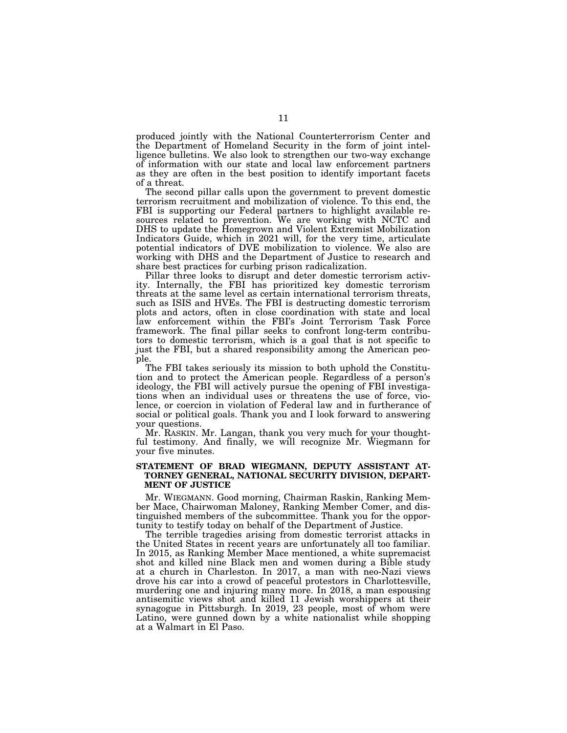produced jointly with the National Counterterrorism Center and the Department of Homeland Security in the form of joint intelligence bulletins. We also look to strengthen our two-way exchange of information with our state and local law enforcement partners as they are often in the best position to identify important facets of a threat.

The second pillar calls upon the government to prevent domestic terrorism recruitment and mobilization of violence. To this end, the FBI is supporting our Federal partners to highlight available resources related to prevention. We are working with NCTC and DHS to update the Homegrown and Violent Extremist Mobilization Indicators Guide, which in 2021 will, for the very time, articulate potential indicators of DVE mobilization to violence. We also are working with DHS and the Department of Justice to research and share best practices for curbing prison radicalization.

Pillar three looks to disrupt and deter domestic terrorism activity. Internally, the FBI has prioritized key domestic terrorism threats at the same level as certain international terrorism threats, such as ISIS and HVEs. The FBI is destructing domestic terrorism plots and actors, often in close coordination with state and local law enforcement within the FBI's Joint Terrorism Task Force framework. The final pillar seeks to confront long-term contributors to domestic terrorism, which is a goal that is not specific to just the FBI, but a shared responsibility among the American people.

The FBI takes seriously its mission to both uphold the Constitution and to protect the American people. Regardless of a person's ideology, the FBI will actively pursue the opening of FBI investigations when an individual uses or threatens the use of force, violence, or coercion in violation of Federal law and in furtherance of social or political goals. Thank you and I look forward to answering your questions.

Mr. RASKIN. Mr. Langan, thank you very much for your thoughtful testimony. And finally, we will recognize Mr. Wiegmann for your five minutes.

#### **STATEMENT OF BRAD WIEGMANN, DEPUTY ASSISTANT AT-TORNEY GENERAL, NATIONAL SECURITY DIVISION, DEPART-MENT OF JUSTICE**

Mr. WIEGMANN. Good morning, Chairman Raskin, Ranking Member Mace, Chairwoman Maloney, Ranking Member Comer, and distinguished members of the subcommittee. Thank you for the opportunity to testify today on behalf of the Department of Justice.

The terrible tragedies arising from domestic terrorist attacks in the United States in recent years are unfortunately all too familiar. In 2015, as Ranking Member Mace mentioned, a white supremacist shot and killed nine Black men and women during a Bible study at a church in Charleston. In 2017, a man with neo-Nazi views drove his car into a crowd of peaceful protestors in Charlottesville, murdering one and injuring many more. In 2018, a man espousing antisemitic views shot and killed 11 Jewish worshippers at their synagogue in Pittsburgh. In 2019, 23 people, most of whom were Latino, were gunned down by a white nationalist while shopping at a Walmart in El Paso.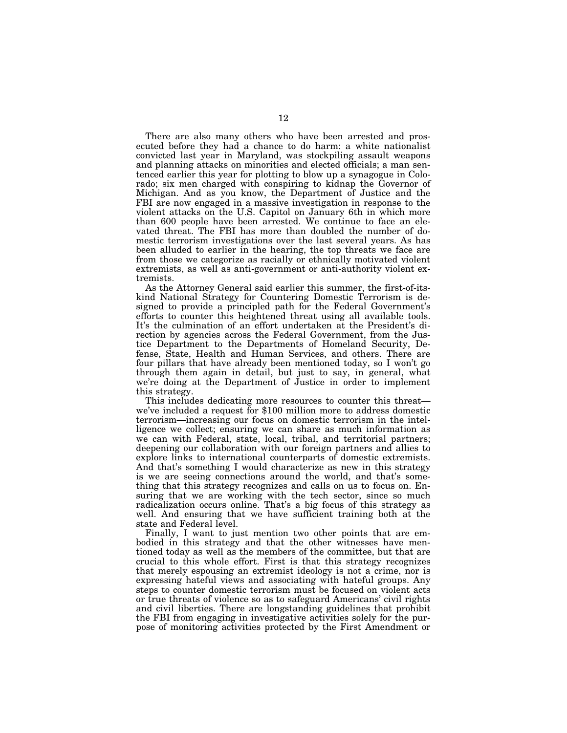There are also many others who have been arrested and prosecuted before they had a chance to do harm: a white nationalist convicted last year in Maryland, was stockpiling assault weapons and planning attacks on minorities and elected officials; a man sentenced earlier this year for plotting to blow up a synagogue in Colorado; six men charged with conspiring to kidnap the Governor of Michigan. And as you know, the Department of Justice and the FBI are now engaged in a massive investigation in response to the violent attacks on the U.S. Capitol on January 6th in which more than 600 people have been arrested. We continue to face an elevated threat. The FBI has more than doubled the number of domestic terrorism investigations over the last several years. As has been alluded to earlier in the hearing, the top threats we face are from those we categorize as racially or ethnically motivated violent extremists, as well as anti-government or anti-authority violent extremists.

As the Attorney General said earlier this summer, the first-of-itskind National Strategy for Countering Domestic Terrorism is designed to provide a principled path for the Federal Government's efforts to counter this heightened threat using all available tools. It's the culmination of an effort undertaken at the President's direction by agencies across the Federal Government, from the Justice Department to the Departments of Homeland Security, Defense, State, Health and Human Services, and others. There are four pillars that have already been mentioned today, so I won't go through them again in detail, but just to say, in general, what we're doing at the Department of Justice in order to implement this strategy.

This includes dedicating more resources to counter this threat we've included a request for \$100 million more to address domestic terrorism—increasing our focus on domestic terrorism in the intelligence we collect; ensuring we can share as much information as we can with Federal, state, local, tribal, and territorial partners; deepening our collaboration with our foreign partners and allies to explore links to international counterparts of domestic extremists. And that's something I would characterize as new in this strategy is we are seeing connections around the world, and that's something that this strategy recognizes and calls on us to focus on. Ensuring that we are working with the tech sector, since so much radicalization occurs online. That's a big focus of this strategy as well. And ensuring that we have sufficient training both at the state and Federal level.

Finally, I want to just mention two other points that are embodied in this strategy and that the other witnesses have mentioned today as well as the members of the committee, but that are crucial to this whole effort. First is that this strategy recognizes that merely espousing an extremist ideology is not a crime, nor is expressing hateful views and associating with hateful groups. Any steps to counter domestic terrorism must be focused on violent acts or true threats of violence so as to safeguard Americans' civil rights and civil liberties. There are longstanding guidelines that prohibit the FBI from engaging in investigative activities solely for the purpose of monitoring activities protected by the First Amendment or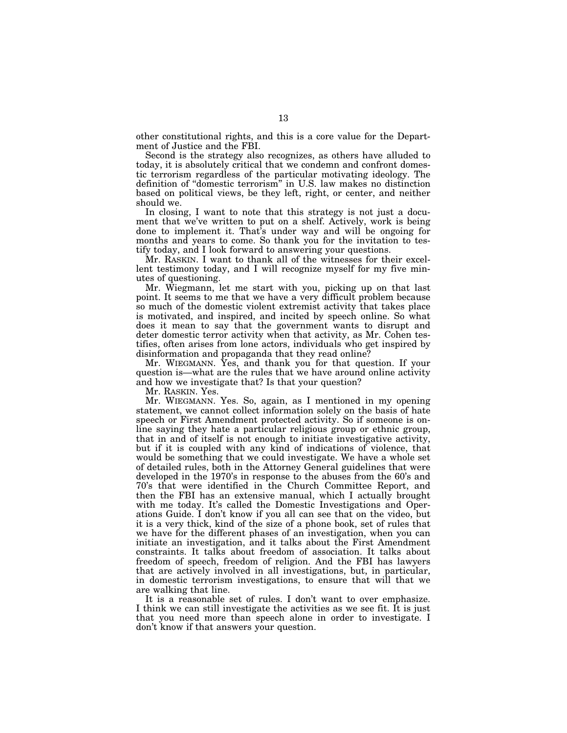other constitutional rights, and this is a core value for the Department of Justice and the FBI.

Second is the strategy also recognizes, as others have alluded to today, it is absolutely critical that we condemn and confront domestic terrorism regardless of the particular motivating ideology. The definition of ''domestic terrorism'' in U.S. law makes no distinction based on political views, be they left, right, or center, and neither should we.

In closing, I want to note that this strategy is not just a document that we've written to put on a shelf. Actively, work is being done to implement it. That's under way and will be ongoing for months and years to come. So thank you for the invitation to testify today, and I look forward to answering your questions.

Mr. RASKIN. I want to thank all of the witnesses for their excellent testimony today, and I will recognize myself for my five minutes of questioning.

Mr. Wiegmann, let me start with you, picking up on that last point. It seems to me that we have a very difficult problem because so much of the domestic violent extremist activity that takes place is motivated, and inspired, and incited by speech online. So what does it mean to say that the government wants to disrupt and deter domestic terror activity when that activity, as Mr. Cohen testifies, often arises from lone actors, individuals who get inspired by disinformation and propaganda that they read online?

Mr. WIEGMANN. Yes, and thank you for that question. If your question is—what are the rules that we have around online activity and how we investigate that? Is that your question?

Mr. RASKIN. Yes.

Mr. WIEGMANN. Yes. So, again, as I mentioned in my opening statement, we cannot collect information solely on the basis of hate speech or First Amendment protected activity. So if someone is online saying they hate a particular religious group or ethnic group, that in and of itself is not enough to initiate investigative activity, but if it is coupled with any kind of indications of violence, that would be something that we could investigate. We have a whole set of detailed rules, both in the Attorney General guidelines that were developed in the 1970's in response to the abuses from the 60's and 70's that were identified in the Church Committee Report, and then the FBI has an extensive manual, which I actually brought with me today. It's called the Domestic Investigations and Operations Guide. I don't know if you all can see that on the video, but it is a very thick, kind of the size of a phone book, set of rules that we have for the different phases of an investigation, when you can initiate an investigation, and it talks about the First Amendment constraints. It talks about freedom of association. It talks about freedom of speech, freedom of religion. And the FBI has lawyers that are actively involved in all investigations, but, in particular, in domestic terrorism investigations, to ensure that will that we are walking that line.

It is a reasonable set of rules. I don't want to over emphasize. I think we can still investigate the activities as we see fit. It is just that you need more than speech alone in order to investigate. I don't know if that answers your question.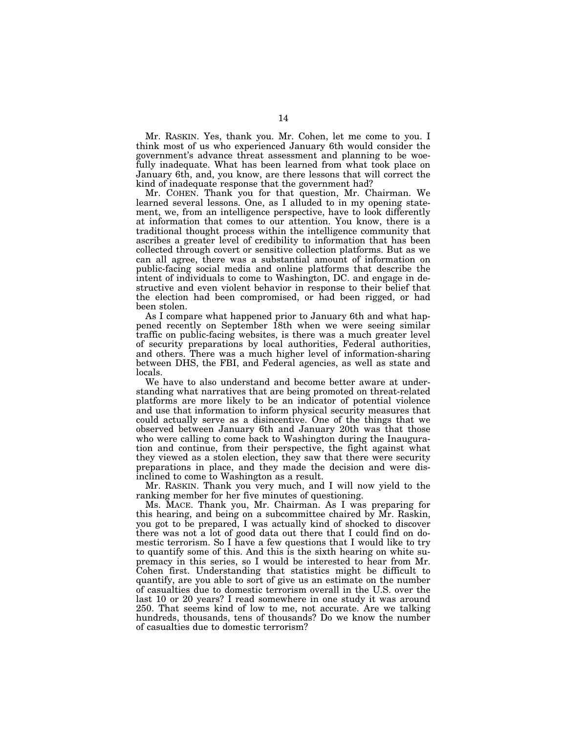Mr. RASKIN. Yes, thank you. Mr. Cohen, let me come to you. I think most of us who experienced January 6th would consider the government's advance threat assessment and planning to be woefully inadequate. What has been learned from what took place on January 6th, and, you know, are there lessons that will correct the kind of inadequate response that the government had?

Mr. COHEN. Thank you for that question, Mr. Chairman. We learned several lessons. One, as I alluded to in my opening statement, we, from an intelligence perspective, have to look differently at information that comes to our attention. You know, there is a traditional thought process within the intelligence community that ascribes a greater level of credibility to information that has been collected through covert or sensitive collection platforms. But as we can all agree, there was a substantial amount of information on public-facing social media and online platforms that describe the intent of individuals to come to Washington, DC. and engage in destructive and even violent behavior in response to their belief that the election had been compromised, or had been rigged, or had been stolen.

As I compare what happened prior to January 6th and what happened recently on September 18th when we were seeing similar traffic on public-facing websites, is there was a much greater level of security preparations by local authorities, Federal authorities, and others. There was a much higher level of information-sharing between DHS, the FBI, and Federal agencies, as well as state and locals.

We have to also understand and become better aware at understanding what narratives that are being promoted on threat-related platforms are more likely to be an indicator of potential violence and use that information to inform physical security measures that could actually serve as a disincentive. One of the things that we observed between January 6th and January 20th was that those who were calling to come back to Washington during the Inauguration and continue, from their perspective, the fight against what they viewed as a stolen election, they saw that there were security preparations in place, and they made the decision and were disinclined to come to Washington as a result.

Mr. RASKIN. Thank you very much, and I will now yield to the ranking member for her five minutes of questioning.

Ms. MACE. Thank you, Mr. Chairman. As I was preparing for this hearing, and being on a subcommittee chaired by Mr. Raskin, you got to be prepared, I was actually kind of shocked to discover there was not a lot of good data out there that I could find on domestic terrorism. So I have a few questions that I would like to try to quantify some of this. And this is the sixth hearing on white supremacy in this series, so I would be interested to hear from Mr. Cohen first. Understanding that statistics might be difficult to quantify, are you able to sort of give us an estimate on the number of casualties due to domestic terrorism overall in the U.S. over the last 10 or 20 years? I read somewhere in one study it was around 250. That seems kind of low to me, not accurate. Are we talking hundreds, thousands, tens of thousands? Do we know the number of casualties due to domestic terrorism?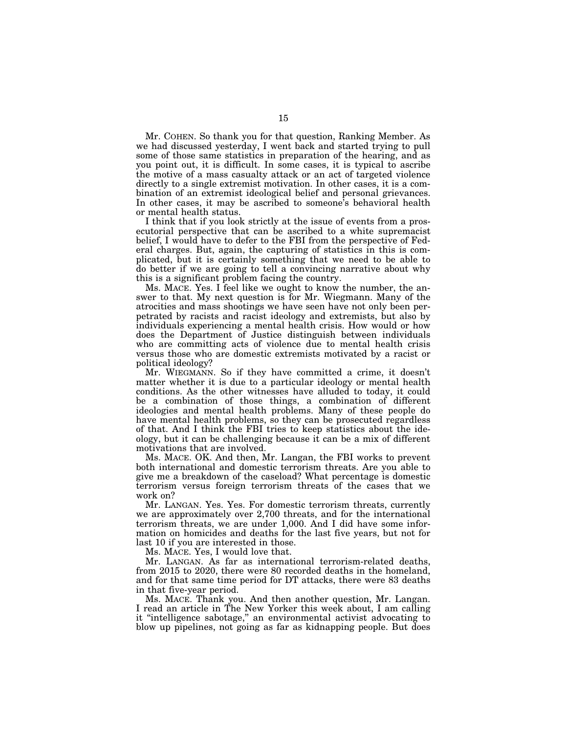Mr. COHEN. So thank you for that question, Ranking Member. As we had discussed yesterday, I went back and started trying to pull some of those same statistics in preparation of the hearing, and as you point out, it is difficult. In some cases, it is typical to ascribe the motive of a mass casualty attack or an act of targeted violence directly to a single extremist motivation. In other cases, it is a combination of an extremist ideological belief and personal grievances. In other cases, it may be ascribed to someone's behavioral health or mental health status.

I think that if you look strictly at the issue of events from a prosecutorial perspective that can be ascribed to a white supremacist belief, I would have to defer to the FBI from the perspective of Federal charges. But, again, the capturing of statistics in this is complicated, but it is certainly something that we need to be able to do better if we are going to tell a convincing narrative about why this is a significant problem facing the country.

Ms. MACE. Yes. I feel like we ought to know the number, the answer to that. My next question is for Mr. Wiegmann. Many of the atrocities and mass shootings we have seen have not only been perpetrated by racists and racist ideology and extremists, but also by individuals experiencing a mental health crisis. How would or how does the Department of Justice distinguish between individuals who are committing acts of violence due to mental health crisis versus those who are domestic extremists motivated by a racist or political ideology?

Mr. WIEGMANN. So if they have committed a crime, it doesn't matter whether it is due to a particular ideology or mental health conditions. As the other witnesses have alluded to today, it could be a combination of those things, a combination of different ideologies and mental health problems. Many of these people do have mental health problems, so they can be prosecuted regardless of that. And I think the FBI tries to keep statistics about the ideology, but it can be challenging because it can be a mix of different motivations that are involved.

Ms. MACE. OK. And then, Mr. Langan, the FBI works to prevent both international and domestic terrorism threats. Are you able to give me a breakdown of the caseload? What percentage is domestic terrorism versus foreign terrorism threats of the cases that we work on?

Mr. LANGAN. Yes. Yes. For domestic terrorism threats, currently we are approximately over 2,700 threats, and for the international terrorism threats, we are under 1,000. And I did have some information on homicides and deaths for the last five years, but not for last 10 if you are interested in those.

Ms. MACE. Yes, I would love that.

Mr. LANGAN. As far as international terrorism-related deaths, from 2015 to 2020, there were 80 recorded deaths in the homeland, and for that same time period for DT attacks, there were 83 deaths in that five-year period.

Ms. MACE. Thank you. And then another question, Mr. Langan. I read an article in The New Yorker this week about, I am calling it ''intelligence sabotage,'' an environmental activist advocating to blow up pipelines, not going as far as kidnapping people. But does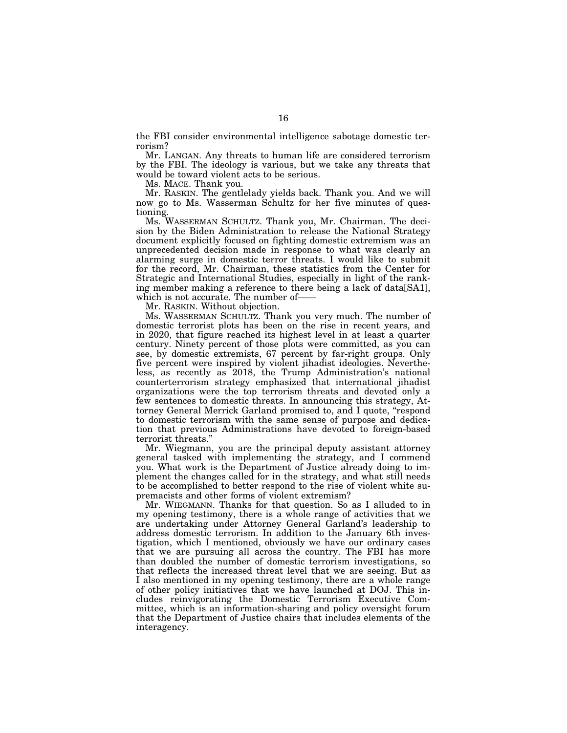the FBI consider environmental intelligence sabotage domestic terrorism?

Mr. LANGAN. Any threats to human life are considered terrorism by the FBI. The ideology is various, but we take any threats that would be toward violent acts to be serious.

Ms. MACE. Thank you.

Mr. RASKIN. The gentlelady yields back. Thank you. And we will now go to Ms. Wasserman Schultz for her five minutes of questioning.

Ms. WASSERMAN SCHULTZ. Thank you, Mr. Chairman. The decision by the Biden Administration to release the National Strategy document explicitly focused on fighting domestic extremism was an unprecedented decision made in response to what was clearly an alarming surge in domestic terror threats. I would like to submit for the record, Mr. Chairman, these statistics from the Center for Strategic and International Studies, especially in light of the ranking member making a reference to there being a lack of data[SA1], which is not accurate. The number of-

Mr. RASKIN. Without objection.

Ms. WASSERMAN SCHULTZ. Thank you very much. The number of domestic terrorist plots has been on the rise in recent years, and in 2020, that figure reached its highest level in at least a quarter century. Ninety percent of those plots were committed, as you can see, by domestic extremists, 67 percent by far-right groups. Only five percent were inspired by violent jihadist ideologies. Nevertheless, as recently as 2018, the Trump Administration's national counterterrorism strategy emphasized that international jihadist organizations were the top terrorism threats and devoted only a few sentences to domestic threats. In announcing this strategy, Attorney General Merrick Garland promised to, and I quote, ''respond to domestic terrorism with the same sense of purpose and dedication that previous Administrations have devoted to foreign-based terrorist threats.''

Mr. Wiegmann, you are the principal deputy assistant attorney general tasked with implementing the strategy, and I commend you. What work is the Department of Justice already doing to implement the changes called for in the strategy, and what still needs to be accomplished to better respond to the rise of violent white supremacists and other forms of violent extremism?

Mr. WIEGMANN. Thanks for that question. So as I alluded to in my opening testimony, there is a whole range of activities that we are undertaking under Attorney General Garland's leadership to address domestic terrorism. In addition to the January 6th investigation, which I mentioned, obviously we have our ordinary cases that we are pursuing all across the country. The FBI has more than doubled the number of domestic terrorism investigations, so that reflects the increased threat level that we are seeing. But as I also mentioned in my opening testimony, there are a whole range of other policy initiatives that we have launched at DOJ. This includes reinvigorating the Domestic Terrorism Executive Committee, which is an information-sharing and policy oversight forum that the Department of Justice chairs that includes elements of the interagency.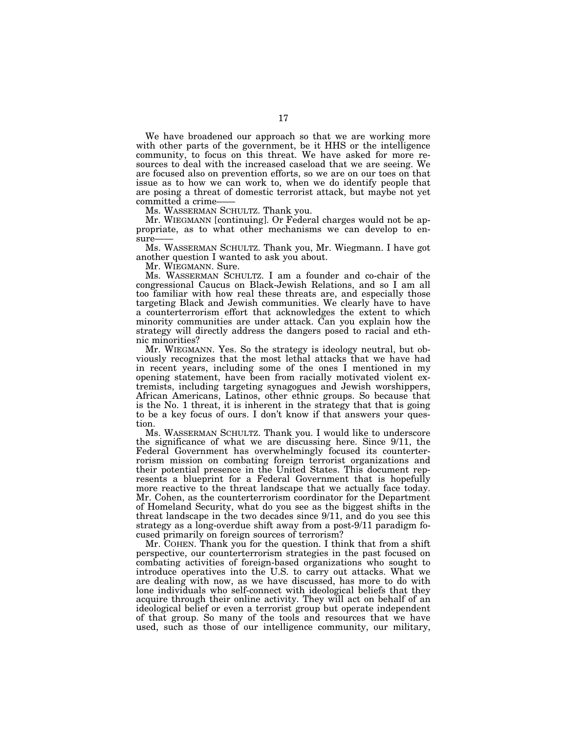We have broadened our approach so that we are working more with other parts of the government, be it HHS or the intelligence community, to focus on this threat. We have asked for more resources to deal with the increased caseload that we are seeing. We are focused also on prevention efforts, so we are on our toes on that issue as to how we can work to, when we do identify people that are posing a threat of domestic terrorist attack, but maybe not yet committed a crime-

Ms. WASSERMAN SCHULTZ. Thank you.

Mr. WIEGMANN [continuing]. Or Federal charges would not be appropriate, as to what other mechanisms we can develop to ensure-

Ms. WASSERMAN SCHULTZ. Thank you, Mr. Wiegmann. I have got another question I wanted to ask you about.

Mr. WIEGMANN. Sure.

Ms. WASSERMAN SCHULTZ. I am a founder and co-chair of the congressional Caucus on Black-Jewish Relations, and so I am all too familiar with how real these threats are, and especially those targeting Black and Jewish communities. We clearly have to have a counterterrorism effort that acknowledges the extent to which minority communities are under attack. Can you explain how the strategy will directly address the dangers posed to racial and ethnic minorities?

Mr. WIEGMANN. Yes. So the strategy is ideology neutral, but obviously recognizes that the most lethal attacks that we have had in recent years, including some of the ones I mentioned in my opening statement, have been from racially motivated violent extremists, including targeting synagogues and Jewish worshippers, African Americans, Latinos, other ethnic groups. So because that is the No. 1 threat, it is inherent in the strategy that that is going to be a key focus of ours. I don't know if that answers your question.

Ms. WASSERMAN SCHULTZ. Thank you. I would like to underscore the significance of what we are discussing here. Since 9/11, the Federal Government has overwhelmingly focused its counterterrorism mission on combating foreign terrorist organizations and their potential presence in the United States. This document represents a blueprint for a Federal Government that is hopefully more reactive to the threat landscape that we actually face today. Mr. Cohen, as the counterterrorism coordinator for the Department of Homeland Security, what do you see as the biggest shifts in the threat landscape in the two decades since 9/11, and do you see this strategy as a long-overdue shift away from a post-9/11 paradigm focused primarily on foreign sources of terrorism?

Mr. COHEN. Thank you for the question. I think that from a shift perspective, our counterterrorism strategies in the past focused on combating activities of foreign-based organizations who sought to introduce operatives into the U.S. to carry out attacks. What we are dealing with now, as we have discussed, has more to do with lone individuals who self-connect with ideological beliefs that they acquire through their online activity. They will act on behalf of an ideological belief or even a terrorist group but operate independent of that group. So many of the tools and resources that we have used, such as those of our intelligence community, our military,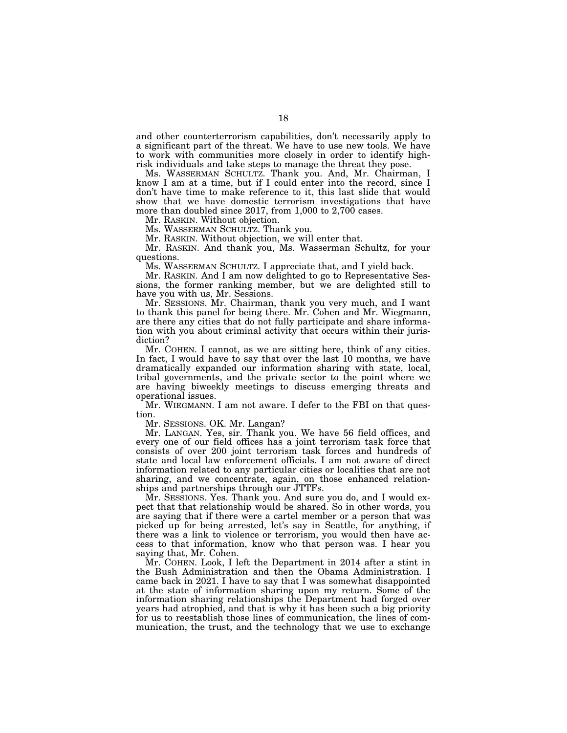and other counterterrorism capabilities, don't necessarily apply to a significant part of the threat. We have to use new tools. We have to work with communities more closely in order to identify highrisk individuals and take steps to manage the threat they pose.

Ms. WASSERMAN SCHULTZ. Thank you. And, Mr. Chairman, I know I am at a time, but if I could enter into the record, since I don't have time to make reference to it, this last slide that would show that we have domestic terrorism investigations that have more than doubled since  $2017$ , from  $1,000$  to  $2,700$  cases.

Mr. RASKIN. Without objection.

Ms. WASSERMAN SCHULTZ. Thank you.

Mr. RASKIN. Without objection, we will enter that.

Mr. RASKIN. And thank you, Ms. Wasserman Schultz, for your questions.

Ms. WASSERMAN SCHULTZ. I appreciate that, and I yield back.

Mr. RASKIN. And I am now delighted to go to Representative Sessions, the former ranking member, but we are delighted still to have you with us, Mr. Sessions.

Mr. SESSIONS. Mr. Chairman, thank you very much, and I want to thank this panel for being there. Mr. Cohen and Mr. Wiegmann, are there any cities that do not fully participate and share information with you about criminal activity that occurs within their jurisdiction?

Mr. COHEN. I cannot, as we are sitting here, think of any cities. In fact, I would have to say that over the last 10 months, we have dramatically expanded our information sharing with state, local, tribal governments, and the private sector to the point where we are having biweekly meetings to discuss emerging threats and operational issues.

Mr. WIEGMANN. I am not aware. I defer to the FBI on that question.

Mr. SESSIONS. OK. Mr. Langan?

Mr. LANGAN. Yes, sir. Thank you. We have 56 field offices, and every one of our field offices has a joint terrorism task force that consists of over 200 joint terrorism task forces and hundreds of state and local law enforcement officials. I am not aware of direct information related to any particular cities or localities that are not sharing, and we concentrate, again, on those enhanced relationships and partnerships through our JTTFs.

Mr. SESSIONS. Yes. Thank you. And sure you do, and I would expect that that relationship would be shared. So in other words, you are saying that if there were a cartel member or a person that was picked up for being arrested, let's say in Seattle, for anything, if there was a link to violence or terrorism, you would then have access to that information, know who that person was. I hear you saying that, Mr. Cohen.

Mr. COHEN. Look, I left the Department in 2014 after a stint in the Bush Administration and then the Obama Administration. I came back in 2021. I have to say that I was somewhat disappointed at the state of information sharing upon my return. Some of the information sharing relationships the Department had forged over years had atrophied, and that is why it has been such a big priority for us to reestablish those lines of communication, the lines of communication, the trust, and the technology that we use to exchange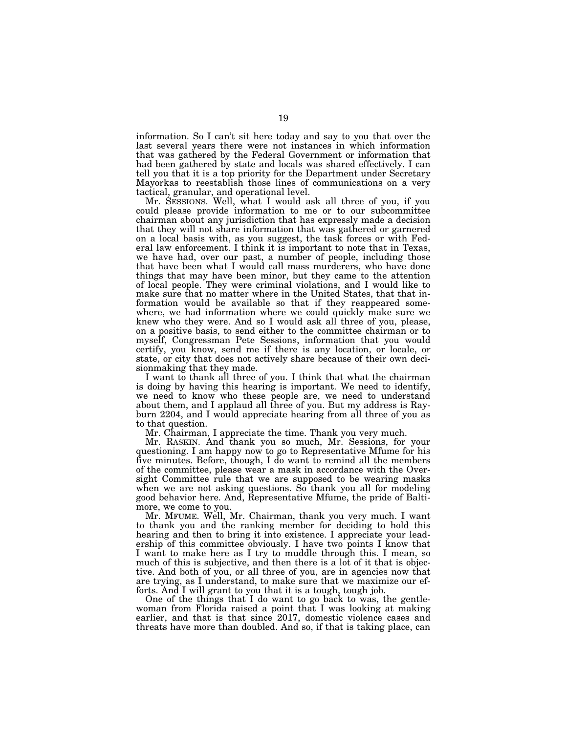information. So I can't sit here today and say to you that over the last several years there were not instances in which information that was gathered by the Federal Government or information that had been gathered by state and locals was shared effectively. I can tell you that it is a top priority for the Department under Secretary Mayorkas to reestablish those lines of communications on a very tactical, granular, and operational level.

Mr. SESSIONS. Well, what I would ask all three of you, if you could please provide information to me or to our subcommittee chairman about any jurisdiction that has expressly made a decision that they will not share information that was gathered or garnered on a local basis with, as you suggest, the task forces or with Federal law enforcement. I think it is important to note that in Texas, we have had, over our past, a number of people, including those that have been what I would call mass murderers, who have done things that may have been minor, but they came to the attention of local people. They were criminal violations, and I would like to make sure that no matter where in the United States, that that information would be available so that if they reappeared somewhere, we had information where we could quickly make sure we knew who they were. And so I would ask all three of you, please, on a positive basis, to send either to the committee chairman or to myself, Congressman Pete Sessions, information that you would certify, you know, send me if there is any location, or locale, or state, or city that does not actively share because of their own decisionmaking that they made.

I want to thank all three of you. I think that what the chairman is doing by having this hearing is important. We need to identify, we need to know who these people are, we need to understand about them, and I applaud all three of you. But my address is Rayburn 2204, and I would appreciate hearing from all three of you as to that question.

Mr. Chairman, I appreciate the time. Thank you very much.

Mr. RASKIN. And thank you so much, Mr. Sessions, for your questioning. I am happy now to go to Representative Mfume for his five minutes. Before, though, I do want to remind all the members of the committee, please wear a mask in accordance with the Oversight Committee rule that we are supposed to be wearing masks when we are not asking questions. So thank you all for modeling good behavior here. And, Representative Mfume, the pride of Baltimore, we come to you.

Mr. MFUME. Well, Mr. Chairman, thank you very much. I want to thank you and the ranking member for deciding to hold this hearing and then to bring it into existence. I appreciate your leadership of this committee obviously. I have two points I know that I want to make here as I try to muddle through this. I mean, so much of this is subjective, and then there is a lot of it that is objective. And both of you, or all three of you, are in agencies now that are trying, as I understand, to make sure that we maximize our efforts. And I will grant to you that it is a tough, tough job.

One of the things that I do want to go back to was, the gentlewoman from Florida raised a point that I was looking at making earlier, and that is that since 2017, domestic violence cases and threats have more than doubled. And so, if that is taking place, can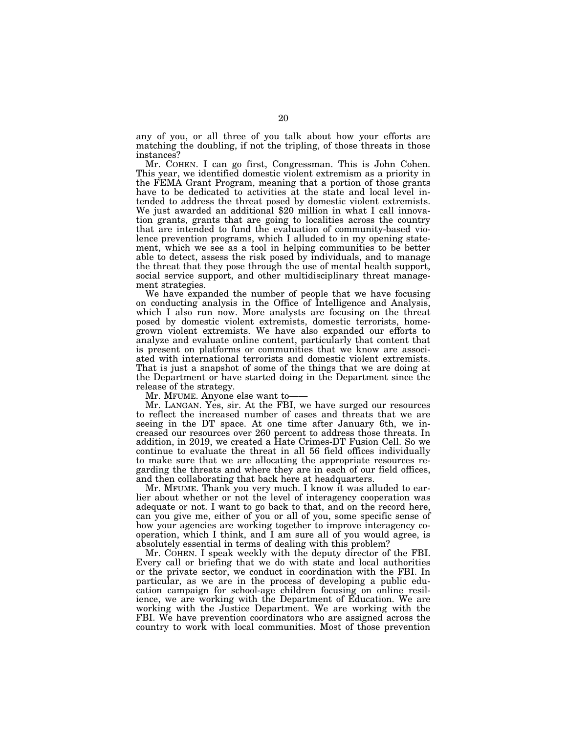any of you, or all three of you talk about how your efforts are matching the doubling, if not the tripling, of those threats in those instances?

Mr. COHEN. I can go first, Congressman. This is John Cohen. This year, we identified domestic violent extremism as a priority in the FEMA Grant Program, meaning that a portion of those grants have to be dedicated to activities at the state and local level intended to address the threat posed by domestic violent extremists. We just awarded an additional \$20 million in what I call innovation grants, grants that are going to localities across the country that are intended to fund the evaluation of community-based violence prevention programs, which I alluded to in my opening statement, which we see as a tool in helping communities to be better able to detect, assess the risk posed by individuals, and to manage the threat that they pose through the use of mental health support, social service support, and other multidisciplinary threat management strategies.

We have expanded the number of people that we have focusing on conducting analysis in the Office of Intelligence and Analysis, which I also run now. More analysts are focusing on the threat posed by domestic violent extremists, domestic terrorists, homegrown violent extremists. We have also expanded our efforts to analyze and evaluate online content, particularly that content that is present on platforms or communities that we know are associated with international terrorists and domestic violent extremists. That is just a snapshot of some of the things that we are doing at the Department or have started doing in the Department since the release of the strategy.

Mr. MFUME. Anyone else want to——

Mr. LANGAN. Yes, sir. At the FBI, we have surged our resources to reflect the increased number of cases and threats that we are seeing in the DT space. At one time after January 6th, we increased our resources over 260 percent to address those threats. In addition, in 2019, we created a Hate Crimes-DT Fusion Cell. So we continue to evaluate the threat in all 56 field offices individually to make sure that we are allocating the appropriate resources regarding the threats and where they are in each of our field offices, and then collaborating that back here at headquarters.

Mr. MFUME. Thank you very much. I know it was alluded to earlier about whether or not the level of interagency cooperation was adequate or not. I want to go back to that, and on the record here, can you give me, either of you or all of you, some specific sense of how your agencies are working together to improve interagency cooperation, which I think, and I am sure all of you would agree, is absolutely essential in terms of dealing with this problem?

Mr. COHEN. I speak weekly with the deputy director of the FBI. Every call or briefing that we do with state and local authorities or the private sector, we conduct in coordination with the FBI. In particular, as we are in the process of developing a public education campaign for school-age children focusing on online resilience, we are working with the Department of Education. We are working with the Justice Department. We are working with the FBI. We have prevention coordinators who are assigned across the country to work with local communities. Most of those prevention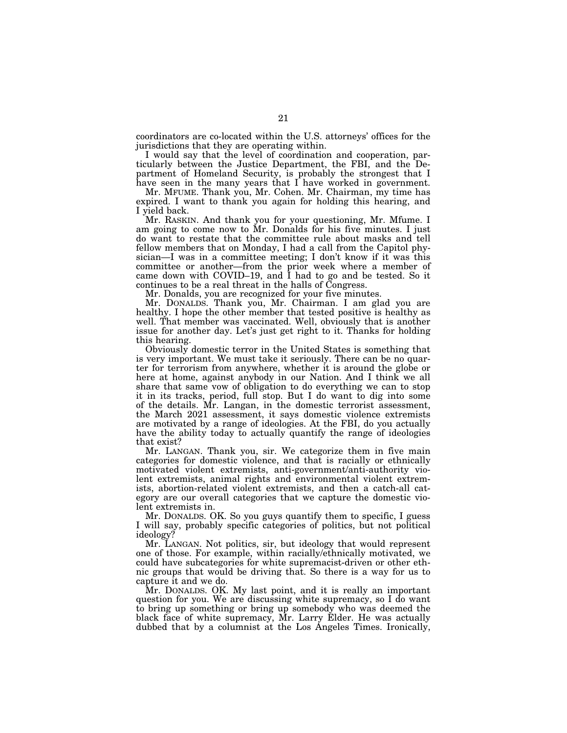coordinators are co-located within the U.S. attorneys' offices for the jurisdictions that they are operating within.

I would say that the level of coordination and cooperation, particularly between the Justice Department, the FBI, and the Department of Homeland Security, is probably the strongest that I have seen in the many years that I have worked in government.

Mr. MFUME. Thank you, Mr. Cohen. Mr. Chairman, my time has expired. I want to thank you again for holding this hearing, and I yield back.

Mr. RASKIN. And thank you for your questioning, Mr. Mfume. I am going to come now to Mr. Donalds for his five minutes. I just do want to restate that the committee rule about masks and tell fellow members that on Monday, I had a call from the Capitol physician—I was in a committee meeting; I don't know if it was this committee or another—from the prior week where a member of came down with COVID–19, and I had to go and be tested. So it continues to be a real threat in the halls of Congress.

Mr. Donalds, you are recognized for your five minutes.

Mr. DONALDS. Thank you, Mr. Chairman. I am glad you are healthy. I hope the other member that tested positive is healthy as well. That member was vaccinated. Well, obviously that is another issue for another day. Let's just get right to it. Thanks for holding this hearing.

Obviously domestic terror in the United States is something that is very important. We must take it seriously. There can be no quarter for terrorism from anywhere, whether it is around the globe or here at home, against anybody in our Nation. And I think we all share that same vow of obligation to do everything we can to stop it in its tracks, period, full stop. But I do want to dig into some of the details. Mr. Langan, in the domestic terrorist assessment, the March 2021 assessment, it says domestic violence extremists are motivated by a range of ideologies. At the FBI, do you actually have the ability today to actually quantify the range of ideologies that exist?

Mr. LANGAN. Thank you, sir. We categorize them in five main categories for domestic violence, and that is racially or ethnically motivated violent extremists, anti-government/anti-authority violent extremists, animal rights and environmental violent extremists, abortion-related violent extremists, and then a catch-all category are our overall categories that we capture the domestic violent extremists in.

Mr. DONALDS. OK. So you guys quantify them to specific, I guess I will say, probably specific categories of politics, but not political ideology?

Mr. LANGAN. Not politics, sir, but ideology that would represent one of those. For example, within racially/ethnically motivated, we could have subcategories for white supremacist-driven or other ethnic groups that would be driving that. So there is a way for us to capture it and we do.

Mr. DONALDS. OK. My last point, and it is really an important question for you. We are discussing white supremacy, so I do want to bring up something or bring up somebody who was deemed the black face of white supremacy, Mr. Larry Elder. He was actually dubbed that by a columnist at the Los Angeles Times. Ironically,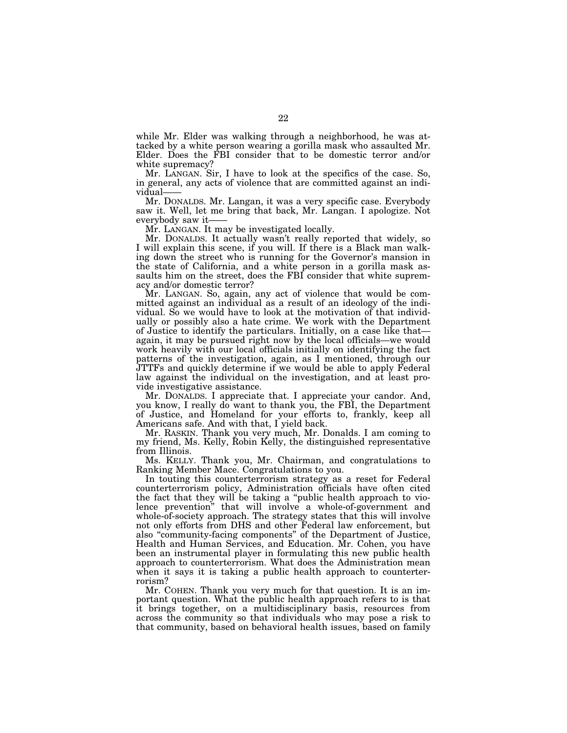while Mr. Elder was walking through a neighborhood, he was attacked by a white person wearing a gorilla mask who assaulted Mr. Elder. Does the FBI consider that to be domestic terror and/or white supremacy?

Mr. LANGAN. Sir, I have to look at the specifics of the case. So, in general, any acts of violence that are committed against an individual-

Mr. DONALDS. Mr. Langan, it was a very specific case. Everybody saw it. Well, let me bring that back, Mr. Langan. I apologize. Not everybody saw it——

Mr. LANGAN. It may be investigated locally.

Mr. DONALDS. It actually wasn't really reported that widely, so I will explain this scene, if you will. If there is a Black man walking down the street who is running for the Governor's mansion in the state of California, and a white person in a gorilla mask assaults him on the street, does the FBI consider that white supremacy and/or domestic terror?

Mr. LANGAN. So, again, any act of violence that would be committed against an individual as a result of an ideology of the individual. So we would have to look at the motivation of that individually or possibly also a hate crime. We work with the Department of Justice to identify the particulars. Initially, on a case like that again, it may be pursued right now by the local officials—we would work heavily with our local officials initially on identifying the fact patterns of the investigation, again, as I mentioned, through our JTTFs and quickly determine if we would be able to apply Federal law against the individual on the investigation, and at least provide investigative assistance.

Mr. DONALDS. I appreciate that. I appreciate your candor. And, you know, I really do want to thank you, the FBI, the Department of Justice, and Homeland for your efforts to, frankly, keep all Americans safe. And with that, I yield back.

Mr. RASKIN. Thank you very much, Mr. Donalds. I am coming to my friend, Ms. Kelly, Robin Kelly, the distinguished representative from Illinois.

Ms. KELLY. Thank you, Mr. Chairman, and congratulations to Ranking Member Mace. Congratulations to you.

In touting this counterterrorism strategy as a reset for Federal counterterrorism policy, Administration officials have often cited the fact that they will be taking a ''public health approach to violence prevention'' that will involve a whole-of-government and whole-of-society approach. The strategy states that this will involve not only efforts from DHS and other Federal law enforcement, but also ''community-facing components'' of the Department of Justice, Health and Human Services, and Education. Mr. Cohen, you have been an instrumental player in formulating this new public health approach to counterterrorism. What does the Administration mean when it says it is taking a public health approach to counterterrorism?

Mr. COHEN. Thank you very much for that question. It is an important question. What the public health approach refers to is that it brings together, on a multidisciplinary basis, resources from across the community so that individuals who may pose a risk to that community, based on behavioral health issues, based on family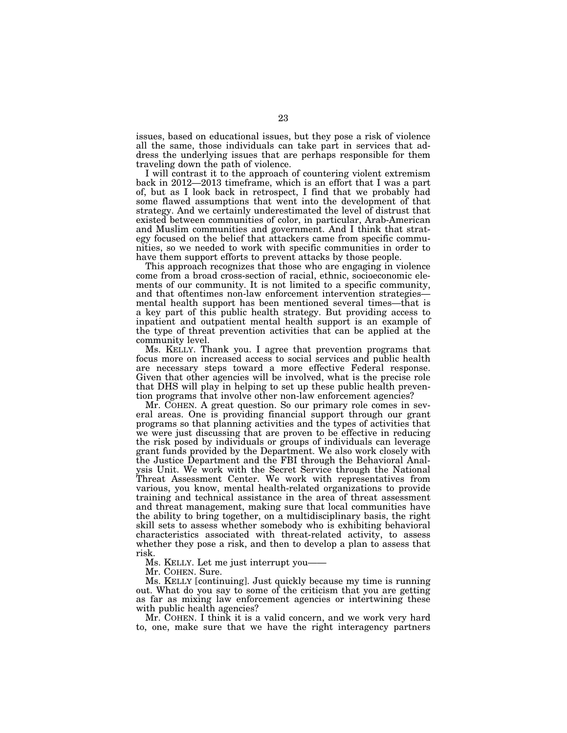issues, based on educational issues, but they pose a risk of violence all the same, those individuals can take part in services that address the underlying issues that are perhaps responsible for them traveling down the path of violence.

I will contrast it to the approach of countering violent extremism back in 2012—2013 timeframe, which is an effort that I was a part of, but as I look back in retrospect, I find that we probably had some flawed assumptions that went into the development of that strategy. And we certainly underestimated the level of distrust that existed between communities of color, in particular, Arab-American and Muslim communities and government. And I think that strategy focused on the belief that attackers came from specific communities, so we needed to work with specific communities in order to have them support efforts to prevent attacks by those people.

This approach recognizes that those who are engaging in violence come from a broad cross-section of racial, ethnic, socioeconomic elements of our community. It is not limited to a specific community, and that oftentimes non-law enforcement intervention strategies mental health support has been mentioned several times—that is a key part of this public health strategy. But providing access to inpatient and outpatient mental health support is an example of the type of threat prevention activities that can be applied at the community level.

Ms. KELLY. Thank you. I agree that prevention programs that focus more on increased access to social services and public health are necessary steps toward a more effective Federal response. Given that other agencies will be involved, what is the precise role that DHS will play in helping to set up these public health prevention programs that involve other non-law enforcement agencies?

Mr. COHEN. A great question. So our primary role comes in several areas. One is providing financial support through our grant programs so that planning activities and the types of activities that we were just discussing that are proven to be effective in reducing the risk posed by individuals or groups of individuals can leverage grant funds provided by the Department. We also work closely with the Justice Department and the FBI through the Behavioral Analysis Unit. We work with the Secret Service through the National Threat Assessment Center. We work with representatives from various, you know, mental health-related organizations to provide training and technical assistance in the area of threat assessment and threat management, making sure that local communities have the ability to bring together, on a multidisciplinary basis, the right skill sets to assess whether somebody who is exhibiting behavioral characteristics associated with threat-related activity, to assess whether they pose a risk, and then to develop a plan to assess that risk.

Ms. KELLY. Let me just interrupt you——

Mr. COHEN. Sure.

Ms. KELLY [continuing]. Just quickly because my time is running out. What do you say to some of the criticism that you are getting as far as mixing law enforcement agencies or intertwining these with public health agencies?

Mr. COHEN. I think it is a valid concern, and we work very hard to, one, make sure that we have the right interagency partners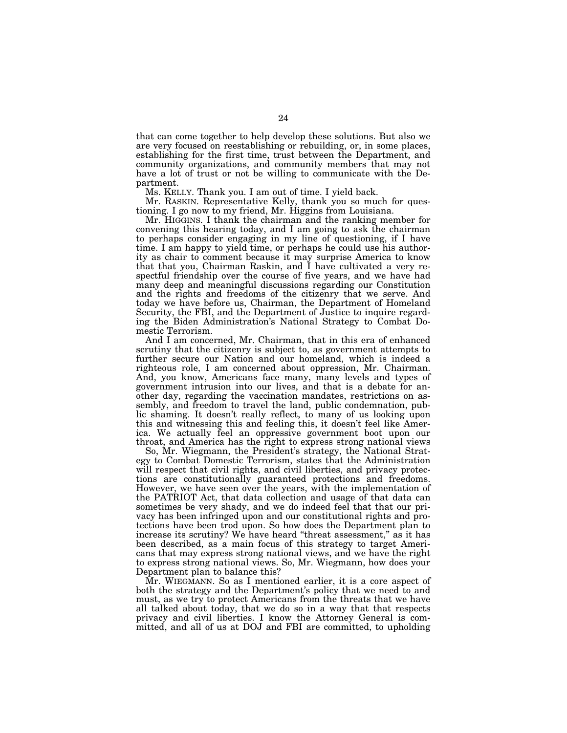that can come together to help develop these solutions. But also we are very focused on reestablishing or rebuilding, or, in some places, establishing for the first time, trust between the Department, and community organizations, and community members that may not have a lot of trust or not be willing to communicate with the Department.

Ms. KELLY. Thank you. I am out of time. I yield back.

Mr. RASKIN. Representative Kelly, thank you so much for questioning. I go now to my friend, Mr. Higgins from Louisiana.

Mr. HIGGINS. I thank the chairman and the ranking member for convening this hearing today, and I am going to ask the chairman to perhaps consider engaging in my line of questioning, if I have time. I am happy to yield time, or perhaps he could use his authority as chair to comment because it may surprise America to know that that you, Chairman Raskin, and I have cultivated a very respectful friendship over the course of five years, and we have had many deep and meaningful discussions regarding our Constitution and the rights and freedoms of the citizenry that we serve. And today we have before us, Chairman, the Department of Homeland Security, the FBI, and the Department of Justice to inquire regarding the Biden Administration's National Strategy to Combat Domestic Terrorism.

And I am concerned, Mr. Chairman, that in this era of enhanced scrutiny that the citizenry is subject to, as government attempts to further secure our Nation and our homeland, which is indeed a righteous role, I am concerned about oppression, Mr. Chairman. And, you know, Americans face many, many levels and types of government intrusion into our lives, and that is a debate for another day, regarding the vaccination mandates, restrictions on assembly, and freedom to travel the land, public condemnation, public shaming. It doesn't really reflect, to many of us looking upon this and witnessing this and feeling this, it doesn't feel like America. We actually feel an oppressive government boot upon our throat, and America has the right to express strong national views

So, Mr. Wiegmann, the President's strategy, the National Strategy to Combat Domestic Terrorism, states that the Administration will respect that civil rights, and civil liberties, and privacy protections are constitutionally guaranteed protections and freedoms. However, we have seen over the years, with the implementation of the PATRIOT Act, that data collection and usage of that data can sometimes be very shady, and we do indeed feel that that our privacy has been infringed upon and our constitutional rights and protections have been trod upon. So how does the Department plan to increase its scrutiny? We have heard "threat assessment," as it has been described, as a main focus of this strategy to target Americans that may express strong national views, and we have the right to express strong national views. So, Mr. Wiegmann, how does your Department plan to balance this?

Mr. WIEGMANN. So as I mentioned earlier, it is a core aspect of both the strategy and the Department's policy that we need to and must, as we try to protect Americans from the threats that we have all talked about today, that we do so in a way that that respects privacy and civil liberties. I know the Attorney General is committed, and all of us at DOJ and FBI are committed, to upholding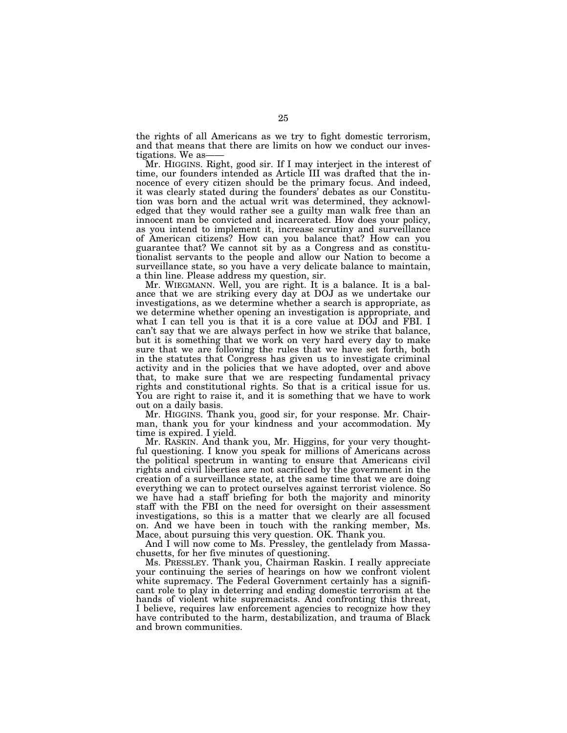the rights of all Americans as we try to fight domestic terrorism, and that means that there are limits on how we conduct our investigations. We as

Mr. HIGGINS. Right, good sir. If I may interject in the interest of time, our founders intended as Article III was drafted that the innocence of every citizen should be the primary focus. And indeed, it was clearly stated during the founders' debates as our Constitution was born and the actual writ was determined, they acknowledged that they would rather see a guilty man walk free than an innocent man be convicted and incarcerated. How does your policy, as you intend to implement it, increase scrutiny and surveillance of American citizens? How can you balance that? How can you guarantee that? We cannot sit by as a Congress and as constitutionalist servants to the people and allow our Nation to become a surveillance state, so you have a very delicate balance to maintain, a thin line. Please address my question, sir.

Mr. WIEGMANN. Well, you are right. It is a balance. It is a balance that we are striking every day at DOJ as we undertake our investigations, as we determine whether a search is appropriate, as we determine whether opening an investigation is appropriate, and what I can tell you is that it is a core value at DOJ and FBI. I can't say that we are always perfect in how we strike that balance, but it is something that we work on very hard every day to make sure that we are following the rules that we have set forth, both in the statutes that Congress has given us to investigate criminal activity and in the policies that we have adopted, over and above that, to make sure that we are respecting fundamental privacy rights and constitutional rights. So that is a critical issue for us. You are right to raise it, and it is something that we have to work out on a daily basis.

Mr. HIGGINS. Thank you, good sir, for your response. Mr. Chairman, thank you for your kindness and your accommodation. My time is expired. I yield.

Mr. RASKIN. And thank you, Mr. Higgins, for your very thoughtful questioning. I know you speak for millions of Americans across the political spectrum in wanting to ensure that Americans civil rights and civil liberties are not sacrificed by the government in the creation of a surveillance state, at the same time that we are doing everything we can to protect ourselves against terrorist violence. So we have had a staff briefing for both the majority and minority staff with the FBI on the need for oversight on their assessment investigations, so this is a matter that we clearly are all focused on. And we have been in touch with the ranking member, Ms. Mace, about pursuing this very question. OK. Thank you.

And I will now come to Ms. Pressley, the gentlelady from Massachusetts, for her five minutes of questioning.

Ms. PRESSLEY. Thank you, Chairman Raskin. I really appreciate your continuing the series of hearings on how we confront violent white supremacy. The Federal Government certainly has a significant role to play in deterring and ending domestic terrorism at the hands of violent white supremacists. And confronting this threat, I believe, requires law enforcement agencies to recognize how they have contributed to the harm, destabilization, and trauma of Black and brown communities.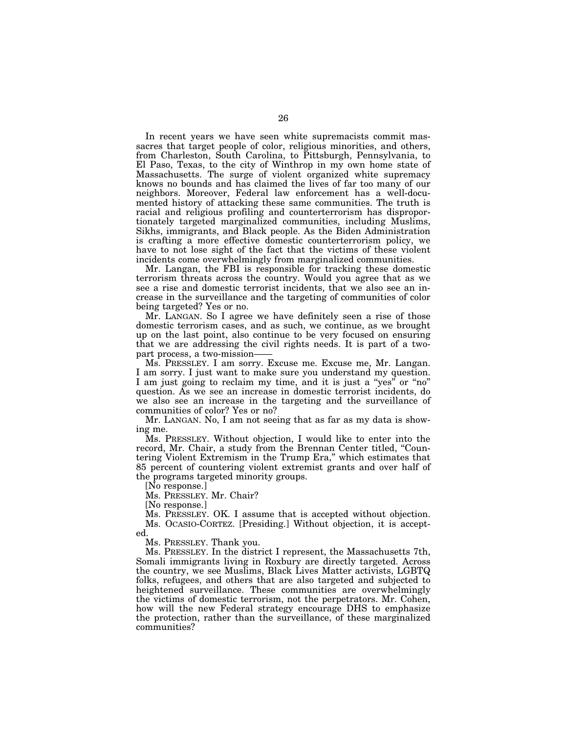In recent years we have seen white supremacists commit massacres that target people of color, religious minorities, and others, from Charleston, South Carolina, to Pittsburgh, Pennsylvania, to El Paso, Texas, to the city of Winthrop in my own home state of Massachusetts. The surge of violent organized white supremacy knows no bounds and has claimed the lives of far too many of our neighbors. Moreover, Federal law enforcement has a well-documented history of attacking these same communities. The truth is racial and religious profiling and counterterrorism has disproportionately targeted marginalized communities, including Muslims, Sikhs, immigrants, and Black people. As the Biden Administration is crafting a more effective domestic counterterrorism policy, we have to not lose sight of the fact that the victims of these violent incidents come overwhelmingly from marginalized communities.

Mr. Langan, the FBI is responsible for tracking these domestic terrorism threats across the country. Would you agree that as we see a rise and domestic terrorist incidents, that we also see an increase in the surveillance and the targeting of communities of color being targeted? Yes or no.

Mr. LANGAN. So I agree we have definitely seen a rise of those domestic terrorism cases, and as such, we continue, as we brought up on the last point, also continue to be very focused on ensuring that we are addressing the civil rights needs. It is part of a twopart process, a two-mission-

Ms. PRESSLEY. I am sorry. Excuse me. Excuse me, Mr. Langan. I am sorry. I just want to make sure you understand my question. I am just going to reclaim my time, and it is just a "yes" or "no" question. As we see an increase in domestic terrorist incidents, do we also see an increase in the targeting and the surveillance of communities of color? Yes or no?

Mr. LANGAN. No, I am not seeing that as far as my data is showing me.

Ms. PRESSLEY. Without objection, I would like to enter into the record, Mr. Chair, a study from the Brennan Center titled, "Countering Violent Extremism in the Trump Era,'' which estimates that 85 percent of countering violent extremist grants and over half of the programs targeted minority groups.

[No response.]

Ms. PRESSLEY. Mr. Chair?

[No response.]

Ms. PRESSLEY. OK. I assume that is accepted without objection. Ms. OCASIO-CORTEZ. [Presiding.] Without objection, it is accepted.

Ms. PRESSLEY. Thank you.

Ms. PRESSLEY. In the district I represent, the Massachusetts 7th, Somali immigrants living in Roxbury are directly targeted. Across the country, we see Muslims, Black Lives Matter activists, LGBTQ folks, refugees, and others that are also targeted and subjected to heightened surveillance. These communities are overwhelmingly the victims of domestic terrorism, not the perpetrators. Mr. Cohen, how will the new Federal strategy encourage DHS to emphasize the protection, rather than the surveillance, of these marginalized communities?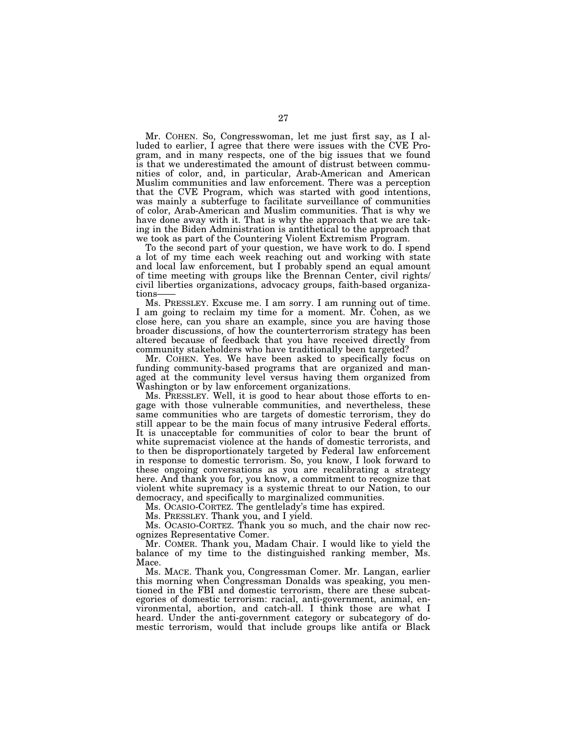Mr. COHEN. So, Congresswoman, let me just first say, as I alluded to earlier, I agree that there were issues with the CVE Program, and in many respects, one of the big issues that we found is that we underestimated the amount of distrust between communities of color, and, in particular, Arab-American and American Muslim communities and law enforcement. There was a perception that the CVE Program, which was started with good intentions, was mainly a subterfuge to facilitate surveillance of communities of color, Arab-American and Muslim communities. That is why we have done away with it. That is why the approach that we are taking in the Biden Administration is antithetical to the approach that we took as part of the Countering Violent Extremism Program.

To the second part of your question, we have work to do. I spend a lot of my time each week reaching out and working with state and local law enforcement, but I probably spend an equal amount of time meeting with groups like the Brennan Center, civil rights/ civil liberties organizations, advocacy groups, faith-based organizations-

Ms. PRESSLEY. Excuse me. I am sorry. I am running out of time. I am going to reclaim my time for a moment. Mr. Cohen, as we close here, can you share an example, since you are having those broader discussions, of how the counterterrorism strategy has been altered because of feedback that you have received directly from community stakeholders who have traditionally been targeted?

Mr. COHEN. Yes. We have been asked to specifically focus on funding community-based programs that are organized and managed at the community level versus having them organized from Washington or by law enforcement organizations.

Ms. PRESSLEY. Well, it is good to hear about those efforts to engage with those vulnerable communities, and nevertheless, these same communities who are targets of domestic terrorism, they do still appear to be the main focus of many intrusive Federal efforts. It is unacceptable for communities of color to bear the brunt of white supremacist violence at the hands of domestic terrorists, and to then be disproportionately targeted by Federal law enforcement in response to domestic terrorism. So, you know, I look forward to these ongoing conversations as you are recalibrating a strategy here. And thank you for, you know, a commitment to recognize that violent white supremacy is a systemic threat to our Nation, to our democracy, and specifically to marginalized communities.

Ms. OCASIO-CORTEZ. The gentlelady's time has expired.

Ms. PRESSLEY. Thank you, and I yield.

Ms. OCASIO-CORTEZ. Thank you so much, and the chair now recognizes Representative Comer.

Mr. COMER. Thank you, Madam Chair. I would like to yield the balance of my time to the distinguished ranking member, Ms. Mace.

Ms. MACE. Thank you, Congressman Comer. Mr. Langan, earlier this morning when Congressman Donalds was speaking, you mentioned in the FBI and domestic terrorism, there are these subcategories of domestic terrorism: racial, anti-government, animal, environmental, abortion, and catch-all. I think those are what I heard. Under the anti-government category or subcategory of domestic terrorism, would that include groups like antifa or Black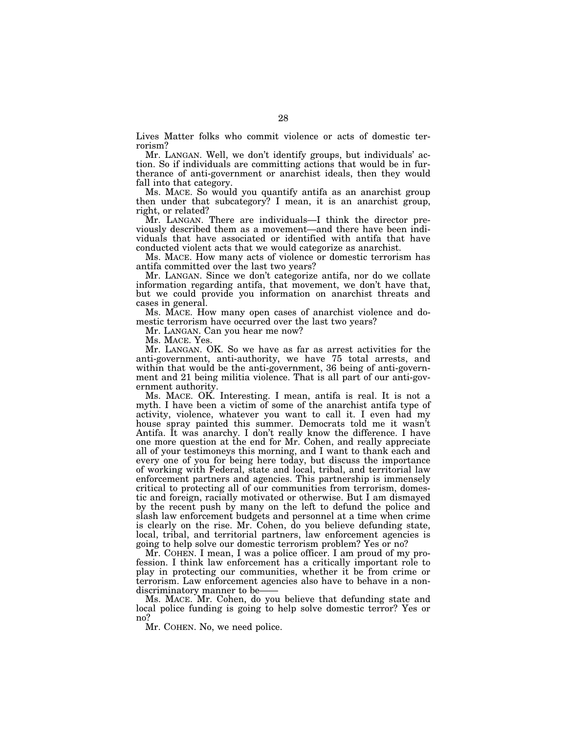Lives Matter folks who commit violence or acts of domestic terrorism?

Mr. LANGAN. Well, we don't identify groups, but individuals' action. So if individuals are committing actions that would be in furtherance of anti-government or anarchist ideals, then they would fall into that category.

Ms. MACE. So would you quantify antifa as an anarchist group then under that subcategory? I mean, it is an anarchist group, right, or related?

Mr. LANGAN. There are individuals—I think the director previously described them as a movement—and there have been individuals that have associated or identified with antifa that have conducted violent acts that we would categorize as anarchist.

Ms. MACE. How many acts of violence or domestic terrorism has antifa committed over the last two years?

Mr. LANGAN. Since we don't categorize antifa, nor do we collate information regarding antifa, that movement, we don't have that, but we could provide you information on anarchist threats and cases in general.

Ms. MACE. How many open cases of anarchist violence and domestic terrorism have occurred over the last two years?

Mr. LANGAN. Can you hear me now?

Ms. MACE. Yes.

Mr. LANGAN. OK. So we have as far as arrest activities for the anti-government, anti-authority, we have 75 total arrests, and within that would be the anti-government, 36 being of anti-government and 21 being militia violence. That is all part of our anti-government authority.

Ms. MACE. OK. Interesting. I mean, antifa is real. It is not a myth. I have been a victim of some of the anarchist antifa type of activity, violence, whatever you want to call it. I even had my house spray painted this summer. Democrats told me it wasn't Antifa. It was anarchy. I don't really know the difference. I have one more question at the end for Mr. Cohen, and really appreciate all of your testimoneys this morning, and I want to thank each and every one of you for being here today, but discuss the importance of working with Federal, state and local, tribal, and territorial law enforcement partners and agencies. This partnership is immensely critical to protecting all of our communities from terrorism, domestic and foreign, racially motivated or otherwise. But I am dismayed by the recent push by many on the left to defund the police and slash law enforcement budgets and personnel at a time when crime is clearly on the rise. Mr. Cohen, do you believe defunding state, local, tribal, and territorial partners, law enforcement agencies is going to help solve our domestic terrorism problem? Yes or no?

Mr. COHEN. I mean, I was a police officer. I am proud of my profession. I think law enforcement has a critically important role to play in protecting our communities, whether it be from crime or terrorism. Law enforcement agencies also have to behave in a nondiscriminatory manner to be-

Ms. MACE. Mr. Cohen, do you believe that defunding state and local police funding is going to help solve domestic terror? Yes or no?

Mr. COHEN. No, we need police.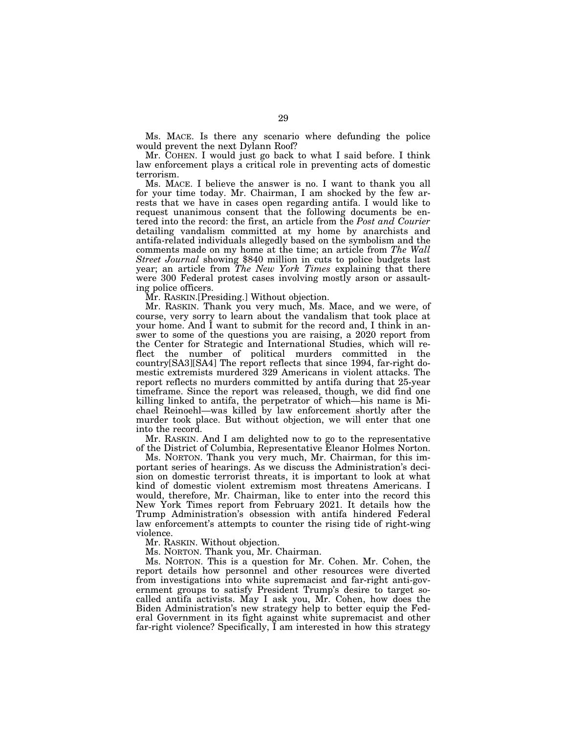Ms. MACE. Is there any scenario where defunding the police would prevent the next Dylann Roof?

Mr. COHEN. I would just go back to what I said before. I think law enforcement plays a critical role in preventing acts of domestic terrorism.

Ms. MACE. I believe the answer is no. I want to thank you all for your time today. Mr. Chairman, I am shocked by the few arrests that we have in cases open regarding antifa. I would like to request unanimous consent that the following documents be entered into the record: the first, an article from the *Post and Courier*  detailing vandalism committed at my home by anarchists and antifa-related individuals allegedly based on the symbolism and the comments made on my home at the time; an article from *The Wall Street Journal* showing \$840 million in cuts to police budgets last year; an article from *The New York Times* explaining that there were 300 Federal protest cases involving mostly arson or assaulting police officers.

Mr. RASKIN.[Presiding.] Without objection.

Mr. RASKIN. Thank you very much, Ms. Mace, and we were, of course, very sorry to learn about the vandalism that took place at your home. And I want to submit for the record and, I think in answer to some of the questions you are raising, a 2020 report from the Center for Strategic and International Studies, which will reflect the number of political murders committed in the country[SA3][SA4] The report reflects that since 1994, far-right domestic extremists murdered 329 Americans in violent attacks. The report reflects no murders committed by antifa during that 25-year timeframe. Since the report was released, though, we did find one killing linked to antifa, the perpetrator of which—his name is Michael Reinoehl—was killed by law enforcement shortly after the murder took place. But without objection, we will enter that one into the record.

Mr. RASKIN. And I am delighted now to go to the representative of the District of Columbia, Representative Eleanor Holmes Norton.

Ms. NORTON. Thank you very much, Mr. Chairman, for this important series of hearings. As we discuss the Administration's decision on domestic terrorist threats, it is important to look at what kind of domestic violent extremism most threatens Americans. I would, therefore, Mr. Chairman, like to enter into the record this New York Times report from February 2021. It details how the Trump Administration's obsession with antifa hindered Federal law enforcement's attempts to counter the rising tide of right-wing violence.

Mr. RASKIN. Without objection.

Ms. NORTON. Thank you, Mr. Chairman.

Ms. NORTON. This is a question for Mr. Cohen. Mr. Cohen, the report details how personnel and other resources were diverted from investigations into white supremacist and far-right anti-government groups to satisfy President Trump's desire to target socalled antifa activists. May I ask you, Mr. Cohen, how does the Biden Administration's new strategy help to better equip the Federal Government in its fight against white supremacist and other far-right violence? Specifically, I am interested in how this strategy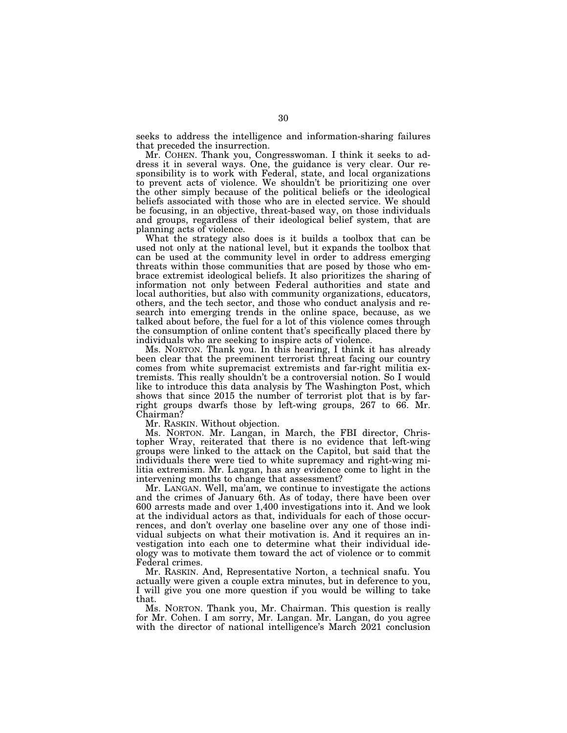seeks to address the intelligence and information-sharing failures that preceded the insurrection.

Mr. COHEN. Thank you, Congresswoman. I think it seeks to address it in several ways. One, the guidance is very clear. Our responsibility is to work with Federal, state, and local organizations to prevent acts of violence. We shouldn't be prioritizing one over the other simply because of the political beliefs or the ideological beliefs associated with those who are in elected service. We should be focusing, in an objective, threat-based way, on those individuals and groups, regardless of their ideological belief system, that are planning acts of violence.

What the strategy also does is it builds a toolbox that can be used not only at the national level, but it expands the toolbox that can be used at the community level in order to address emerging threats within those communities that are posed by those who embrace extremist ideological beliefs. It also prioritizes the sharing of information not only between Federal authorities and state and local authorities, but also with community organizations, educators, others, and the tech sector, and those who conduct analysis and research into emerging trends in the online space, because, as we talked about before, the fuel for a lot of this violence comes through the consumption of online content that's specifically placed there by individuals who are seeking to inspire acts of violence.

Ms. NORTON. Thank you. In this hearing, I think it has already been clear that the preeminent terrorist threat facing our country comes from white supremacist extremists and far-right militia extremists. This really shouldn't be a controversial notion. So I would like to introduce this data analysis by The Washington Post, which shows that since 2015 the number of terrorist plot that is by farright groups dwarfs those by left-wing groups, 267 to 66. Mr. Chairman?

Mr. RASKIN. Without objection.

Ms. NORTON. Mr. Langan, in March, the FBI director, Christopher Wray, reiterated that there is no evidence that left-wing groups were linked to the attack on the Capitol, but said that the individuals there were tied to white supremacy and right-wing militia extremism. Mr. Langan, has any evidence come to light in the intervening months to change that assessment?

Mr. LANGAN. Well, ma'am, we continue to investigate the actions and the crimes of January 6th. As of today, there have been over 600 arrests made and over 1,400 investigations into it. And we look at the individual actors as that, individuals for each of those occurrences, and don't overlay one baseline over any one of those individual subjects on what their motivation is. And it requires an investigation into each one to determine what their individual ideology was to motivate them toward the act of violence or to commit Federal crimes.

Mr. RASKIN. And, Representative Norton, a technical snafu. You actually were given a couple extra minutes, but in deference to you, I will give you one more question if you would be willing to take that.

Ms. NORTON. Thank you, Mr. Chairman. This question is really for Mr. Cohen. I am sorry, Mr. Langan. Mr. Langan, do you agree with the director of national intelligence's March 2021 conclusion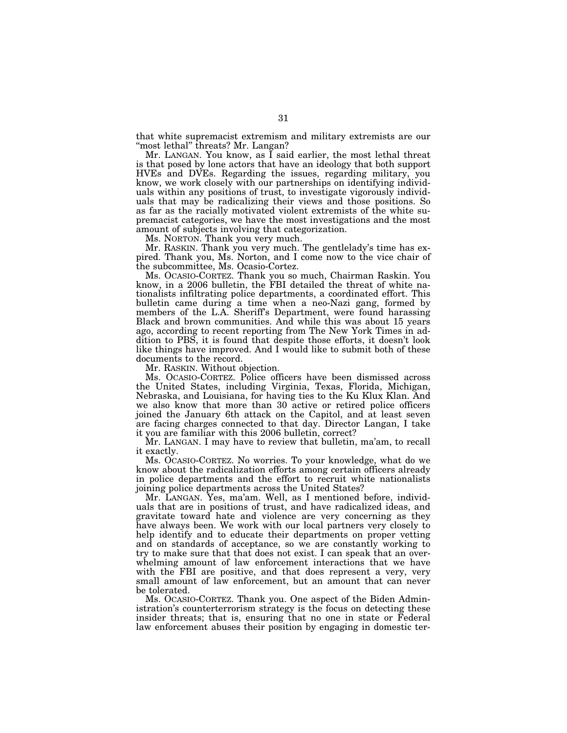that white supremacist extremism and military extremists are our "most lethal" threats? Mr. Langan?

Mr. LANGAN. You know, as I said earlier, the most lethal threat is that posed by lone actors that have an ideology that both support HVEs and DVEs. Regarding the issues, regarding military, you know, we work closely with our partnerships on identifying individuals within any positions of trust, to investigate vigorously individuals that may be radicalizing their views and those positions. So as far as the racially motivated violent extremists of the white supremacist categories, we have the most investigations and the most amount of subjects involving that categorization.

Ms. NORTON. Thank you very much.

Mr. RASKIN. Thank you very much. The gentlelady's time has expired. Thank you, Ms. Norton, and I come now to the vice chair of the subcommittee, Ms. Ocasio-Cortez.

Ms. OCASIO-CORTEZ. Thank you so much, Chairman Raskin. You know, in a 2006 bulletin, the FBI detailed the threat of white nationalists infiltrating police departments, a coordinated effort. This bulletin came during a time when a neo-Nazi gang, formed by members of the L.A. Sheriff's Department, were found harassing Black and brown communities. And while this was about 15 years ago, according to recent reporting from The New York Times in addition to PBS, it is found that despite those efforts, it doesn't look like things have improved. And I would like to submit both of these documents to the record.

Mr. RASKIN. Without objection.

Ms. OCASIO-CORTEZ. Police officers have been dismissed across the United States, including Virginia, Texas, Florida, Michigan, Nebraska, and Louisiana, for having ties to the Ku Klux Klan. And we also know that more than 30 active or retired police officers joined the January 6th attack on the Capitol, and at least seven are facing charges connected to that day. Director Langan, I take it you are familiar with this 2006 bulletin, correct?

Mr. LANGAN. I may have to review that bulletin, ma'am, to recall it exactly.

Ms. OCASIO-CORTEZ. No worries. To your knowledge, what do we know about the radicalization efforts among certain officers already in police departments and the effort to recruit white nationalists joining police departments across the United States?

Mr. LANGAN. Yes, ma'am. Well, as I mentioned before, individuals that are in positions of trust, and have radicalized ideas, and gravitate toward hate and violence are very concerning as they have always been. We work with our local partners very closely to help identify and to educate their departments on proper vetting and on standards of acceptance, so we are constantly working to try to make sure that that does not exist. I can speak that an overwhelming amount of law enforcement interactions that we have with the FBI are positive, and that does represent a very, very small amount of law enforcement, but an amount that can never be tolerated.

Ms. OCASIO-CORTEZ. Thank you. One aspect of the Biden Administration's counterterrorism strategy is the focus on detecting these insider threats; that is, ensuring that no one in state or Federal law enforcement abuses their position by engaging in domestic ter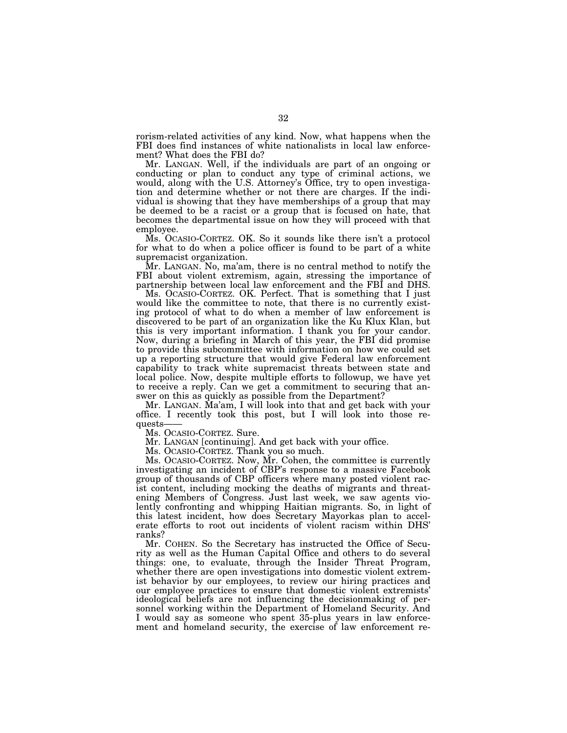rorism-related activities of any kind. Now, what happens when the FBI does find instances of white nationalists in local law enforcement? What does the FBI do?

Mr. LANGAN. Well, if the individuals are part of an ongoing or conducting or plan to conduct any type of criminal actions, we would, along with the U.S. Attorney's Office, try to open investigation and determine whether or not there are charges. If the individual is showing that they have memberships of a group that may be deemed to be a racist or a group that is focused on hate, that becomes the departmental issue on how they will proceed with that employee.

Ms. OCASIO-CORTEZ. OK. So it sounds like there isn't a protocol for what to do when a police officer is found to be part of a white supremacist organization.

Mr. LANGAN. No, ma'am, there is no central method to notify the FBI about violent extremism, again, stressing the importance of partnership between local law enforcement and the FBI and DHS.

Ms. OCASIO-CORTEZ. OK. Perfect. That is something that I just would like the committee to note, that there is no currently existing protocol of what to do when a member of law enforcement is discovered to be part of an organization like the Ku Klux Klan, but this is very important information. I thank you for your candor. Now, during a briefing in March of this year, the FBI did promise to provide this subcommittee with information on how we could set up a reporting structure that would give Federal law enforcement capability to track white supremacist threats between state and local police. Now, despite multiple efforts to followup, we have yet to receive a reply. Can we get a commitment to securing that answer on this as quickly as possible from the Department?

Mr. LANGAN. Ma'am, I will look into that and get back with your office. I recently took this post, but I will look into those requests——

Ms. OCASIO-CORTEZ. Sure.

Mr. LANGAN [continuing]. And get back with your office.

Ms. OCASIO-CORTEZ. Thank you so much.

Ms. OCASIO-CORTEZ. Now, Mr. Cohen, the committee is currently investigating an incident of CBP's response to a massive Facebook group of thousands of CBP officers where many posted violent racist content, including mocking the deaths of migrants and threatening Members of Congress. Just last week, we saw agents violently confronting and whipping Haitian migrants. So, in light of this latest incident, how does Secretary Mayorkas plan to accelerate efforts to root out incidents of violent racism within DHS' ranks?

Mr. COHEN. So the Secretary has instructed the Office of Security as well as the Human Capital Office and others to do several things: one, to evaluate, through the Insider Threat Program, whether there are open investigations into domestic violent extremist behavior by our employees, to review our hiring practices and our employee practices to ensure that domestic violent extremists' ideological beliefs are not influencing the decisionmaking of personnel working within the Department of Homeland Security. And I would say as someone who spent 35-plus years in law enforcement and homeland security, the exercise of law enforcement re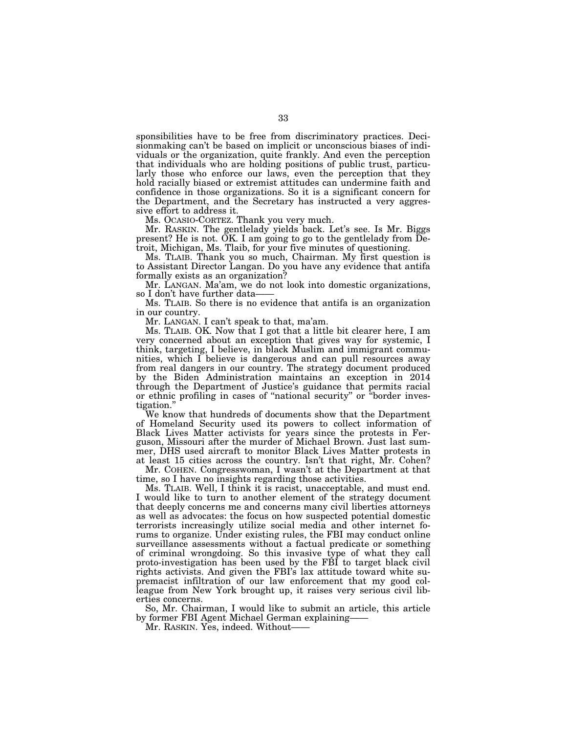sponsibilities have to be free from discriminatory practices. Decisionmaking can't be based on implicit or unconscious biases of individuals or the organization, quite frankly. And even the perception that individuals who are holding positions of public trust, particularly those who enforce our laws, even the perception that they hold racially biased or extremist attitudes can undermine faith and confidence in those organizations. So it is a significant concern for the Department, and the Secretary has instructed a very aggressive effort to address it.

Ms. OCASIO-CORTEZ. Thank you very much.

Mr. RASKIN. The gentlelady yields back. Let's see. Is Mr. Biggs present? He is not.  $\breve{\mathrm{OK}}$ . I am going to go to the gentlelady from  $\widetilde{\mathrm{De}}$ troit, Michigan, Ms. Tlaib, for your five minutes of questioning.

Ms. TLAIB. Thank you so much, Chairman. My first question is to Assistant Director Langan. Do you have any evidence that antifa formally exists as an organization?

Mr. LANGAN. Ma'am, we do not look into domestic organizations, so I don't have further data-

Ms. TLAIB. So there is no evidence that antifa is an organization in our country.

Mr. LANGAN. I can't speak to that, ma'am.

Ms. TLAIB. OK. Now that I got that a little bit clearer here, I am very concerned about an exception that gives way for systemic, I think, targeting, I believe, in black Muslim and immigrant communities, which I believe is dangerous and can pull resources away from real dangers in our country. The strategy document produced by the Biden Administration maintains an exception in 2014 through the Department of Justice's guidance that permits racial or ethnic profiling in cases of ''national security'' or ''border investigation.''

We know that hundreds of documents show that the Department of Homeland Security used its powers to collect information of Black Lives Matter activists for years since the protests in Ferguson, Missouri after the murder of Michael Brown. Just last summer, DHS used aircraft to monitor Black Lives Matter protests in at least 15 cities across the country. Isn't that right, Mr. Cohen?

Mr. COHEN. Congresswoman, I wasn't at the Department at that time, so I have no insights regarding those activities.

Ms. TLAIB. Well, I think it is racist, unacceptable, and must end. I would like to turn to another element of the strategy document that deeply concerns me and concerns many civil liberties attorneys as well as advocates: the focus on how suspected potential domestic terrorists increasingly utilize social media and other internet forums to organize. Under existing rules, the FBI may conduct online surveillance assessments without a factual predicate or something of criminal wrongdoing. So this invasive type of what they call proto-investigation has been used by the FBI to target black civil rights activists. And given the FBI's lax attitude toward white supremacist infiltration of our law enforcement that my good colleague from New York brought up, it raises very serious civil liberties concerns.

So, Mr. Chairman, I would like to submit an article, this article by former FBI Agent Michael German explaining——

Mr. RASKIN. Yes, indeed. Without-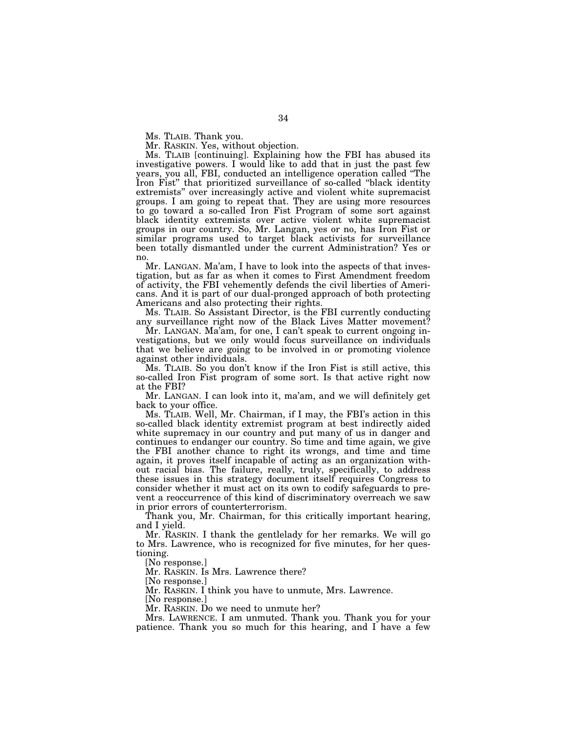Ms. TLAIB. Thank you.

Mr. RASKIN. Yes, without objection.

Ms. TLAIB [continuing]. Explaining how the FBI has abused its investigative powers. I would like to add that in just the past few years, you all, FBI, conducted an intelligence operation called ''The Iron Fist'' that prioritized surveillance of so-called ''black identity extremists'' over increasingly active and violent white supremacist groups. I am going to repeat that. They are using more resources to go toward a so-called Iron Fist Program of some sort against black identity extremists over active violent white supremacist groups in our country. So, Mr. Langan, yes or no, has Iron Fist or similar programs used to target black activists for surveillance been totally dismantled under the current Administration? Yes or no.

Mr. LANGAN. Ma'am, I have to look into the aspects of that investigation, but as far as when it comes to First Amendment freedom of activity, the FBI vehemently defends the civil liberties of Americans. And it is part of our dual-pronged approach of both protecting Americans and also protecting their rights.

Ms. TLAIB. So Assistant Director, is the FBI currently conducting any surveillance right now of the Black Lives Matter movement?

Mr. LANGAN. Ma'am, for one, I can't speak to current ongoing investigations, but we only would focus surveillance on individuals that we believe are going to be involved in or promoting violence against other individuals.

Ms. TLAIB. So you don't know if the Iron Fist is still active, this so-called Iron Fist program of some sort. Is that active right now at the FBI?

Mr. LANGAN. I can look into it, ma'am, and we will definitely get back to your office.

Ms. TLAIB. Well, Mr. Chairman, if I may, the FBI's action in this so-called black identity extremist program at best indirectly aided white supremacy in our country and put many of us in danger and continues to endanger our country. So time and time again, we give the FBI another chance to right its wrongs, and time and time again, it proves itself incapable of acting as an organization without racial bias. The failure, really, truly, specifically, to address these issues in this strategy document itself requires Congress to consider whether it must act on its own to codify safeguards to prevent a reoccurrence of this kind of discriminatory overreach we saw in prior errors of counterterrorism.

Thank you, Mr. Chairman, for this critically important hearing, and I yield.

Mr. RASKIN. I thank the gentlelady for her remarks. We will go to Mrs. Lawrence, who is recognized for five minutes, for her questioning.

[No response.]

Mr. RASKIN. Is Mrs. Lawrence there?

[No response.]

Mr. RASKIN. I think you have to unmute, Mrs. Lawrence.

[No response.]

Mr. RASKIN. Do we need to unmute her?

Mrs. LAWRENCE. I am unmuted. Thank you. Thank you for your patience. Thank you so much for this hearing, and I have a few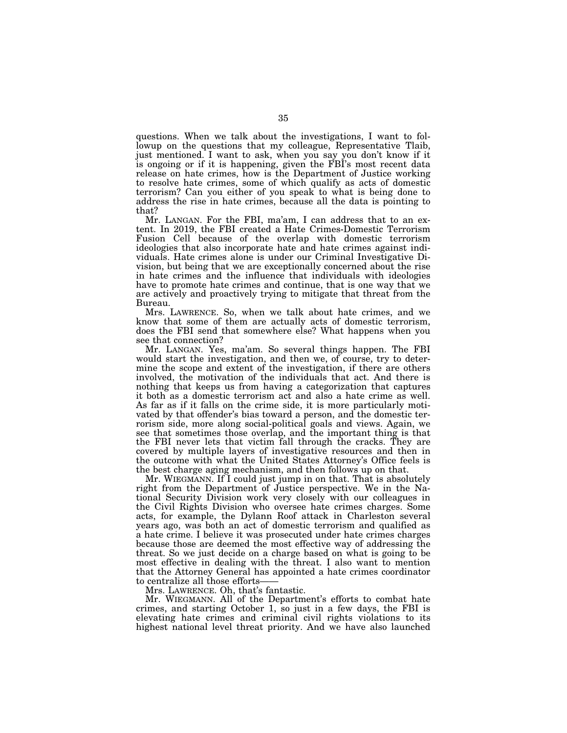questions. When we talk about the investigations, I want to followup on the questions that my colleague, Representative Tlaib, just mentioned. I want to ask, when you say you don't know if it is ongoing or if it is happening, given the FBI's most recent data release on hate crimes, how is the Department of Justice working to resolve hate crimes, some of which qualify as acts of domestic terrorism? Can you either of you speak to what is being done to address the rise in hate crimes, because all the data is pointing to that?

Mr. LANGAN. For the FBI, ma'am, I can address that to an extent. In 2019, the FBI created a Hate Crimes-Domestic Terrorism Fusion Cell because of the overlap with domestic terrorism ideologies that also incorporate hate and hate crimes against individuals. Hate crimes alone is under our Criminal Investigative Division, but being that we are exceptionally concerned about the rise in hate crimes and the influence that individuals with ideologies have to promote hate crimes and continue, that is one way that we are actively and proactively trying to mitigate that threat from the Bureau.

Mrs. LAWRENCE. So, when we talk about hate crimes, and we know that some of them are actually acts of domestic terrorism, does the FBI send that somewhere else? What happens when you see that connection?

Mr. LANGAN. Yes, ma'am. So several things happen. The FBI would start the investigation, and then we, of course, try to determine the scope and extent of the investigation, if there are others involved, the motivation of the individuals that act. And there is nothing that keeps us from having a categorization that captures it both as a domestic terrorism act and also a hate crime as well. As far as if it falls on the crime side, it is more particularly motivated by that offender's bias toward a person, and the domestic terrorism side, more along social-political goals and views. Again, we see that sometimes those overlap, and the important thing is that the FBI never lets that victim fall through the cracks. They are covered by multiple layers of investigative resources and then in the outcome with what the United States Attorney's Office feels is the best charge aging mechanism, and then follows up on that.

Mr. WIEGMANN. If I could just jump in on that. That is absolutely right from the Department of Justice perspective. We in the National Security Division work very closely with our colleagues in the Civil Rights Division who oversee hate crimes charges. Some acts, for example, the Dylann Roof attack in Charleston several years ago, was both an act of domestic terrorism and qualified as a hate crime. I believe it was prosecuted under hate crimes charges because those are deemed the most effective way of addressing the threat. So we just decide on a charge based on what is going to be most effective in dealing with the threat. I also want to mention that the Attorney General has appointed a hate crimes coordinator to centralize all those efforts-

Mrs. LAWRENCE. Oh, that's fantastic.

Mr. WIEGMANN. All of the Department's efforts to combat hate crimes, and starting October 1, so just in a few days, the FBI is elevating hate crimes and criminal civil rights violations to its highest national level threat priority. And we have also launched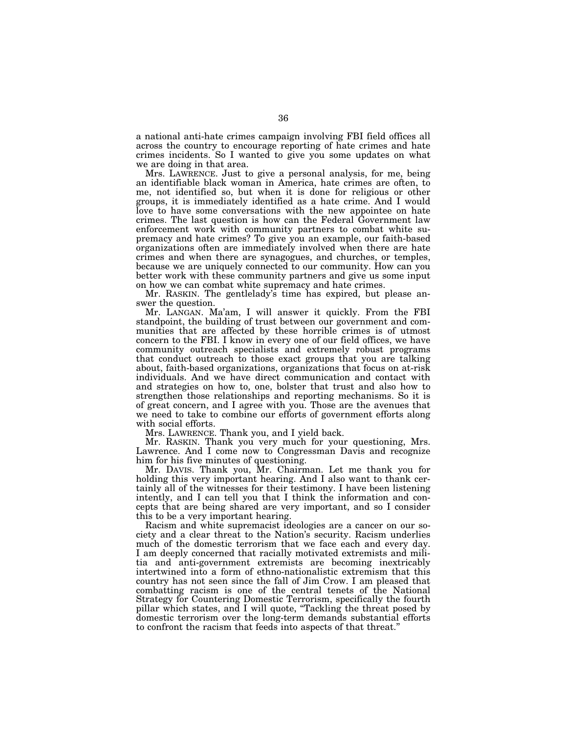a national anti-hate crimes campaign involving FBI field offices all across the country to encourage reporting of hate crimes and hate crimes incidents. So I wanted to give you some updates on what we are doing in that area.

Mrs. LAWRENCE. Just to give a personal analysis, for me, being an identifiable black woman in America, hate crimes are often, to me, not identified so, but when it is done for religious or other groups, it is immediately identified as a hate crime. And I would love to have some conversations with the new appointee on hate crimes. The last question is how can the Federal Government law enforcement work with community partners to combat white supremacy and hate crimes? To give you an example, our faith-based organizations often are immediately involved when there are hate crimes and when there are synagogues, and churches, or temples, because we are uniquely connected to our community. How can you better work with these community partners and give us some input on how we can combat white supremacy and hate crimes.

Mr. RASKIN. The gentlelady's time has expired, but please answer the question.

Mr. LANGAN. Ma'am, I will answer it quickly. From the FBI standpoint, the building of trust between our government and communities that are affected by these horrible crimes is of utmost concern to the FBI. I know in every one of our field offices, we have community outreach specialists and extremely robust programs that conduct outreach to those exact groups that you are talking about, faith-based organizations, organizations that focus on at-risk individuals. And we have direct communication and contact with and strategies on how to, one, bolster that trust and also how to strengthen those relationships and reporting mechanisms. So it is of great concern, and I agree with you. Those are the avenues that we need to take to combine our efforts of government efforts along with social efforts.

Mrs. LAWRENCE. Thank you, and I yield back.

Mr. RASKIN. Thank you very much for your questioning, Mrs. Lawrence. And I come now to Congressman Davis and recognize him for his five minutes of questioning.

Mr. DAVIS. Thank you, Mr. Chairman. Let me thank you for holding this very important hearing. And I also want to thank certainly all of the witnesses for their testimony. I have been listening intently, and I can tell you that I think the information and concepts that are being shared are very important, and so I consider this to be a very important hearing.

Racism and white supremacist ideologies are a cancer on our society and a clear threat to the Nation's security. Racism underlies much of the domestic terrorism that we face each and every day. I am deeply concerned that racially motivated extremists and militia and anti-government extremists are becoming inextricably intertwined into a form of ethno-nationalistic extremism that this country has not seen since the fall of Jim Crow. I am pleased that combatting racism is one of the central tenets of the National Strategy for Countering Domestic Terrorism, specifically the fourth pillar which states, and I will quote, ''Tackling the threat posed by domestic terrorism over the long-term demands substantial efforts to confront the racism that feeds into aspects of that threat.''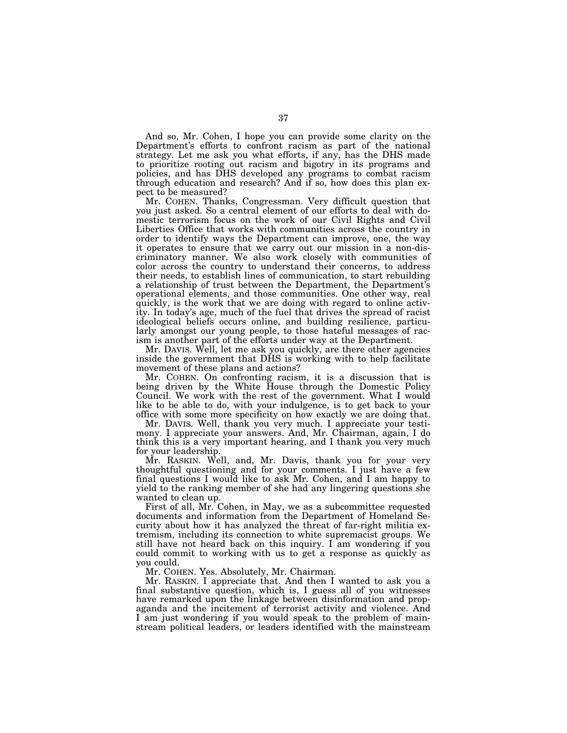And so, Mr. Cohen, I hope you can provide some clarity on the Department's efforts to confront racism as part of the national strategy. Let me ask you what efforts, if any, has the DHS made to prioritize rooting out racism and bigotry in its programs and policies, and has DHS developed any programs to combat racism through education and research? And if so, how does this plan expect to be measured?

Mr. COHEN. Thanks, Congressman. Very difficult question that you just asked. So a central element of our efforts to deal with domestic terrorism focus on the work of our Civil Rights and Civil Liberties Office that works with communities across the country in order to identify ways the Department can improve, one, the way it operates to ensure that we carry out our mission in a non-discriminatory manner. We also work closely with communities of color across the country to understand their concerns, to address their needs, to establish lines of communication, to start rebuilding a relationship of trust between the Department, the Department's operational elements, and those communities. One other way, real quickly, is the work that we are doing with regard to online activity. In today's age, much of the fuel that drives the spread of racist ideological beliefs occurs online, and building resilience, particularly amongst our young people, to those hateful messages of racism is another part of the efforts under way at the Department.

Mr. DAVIS. Well, let me ask you quickly, are there other agencies inside the government that DHS is working with to help facilitate movement of these plans and actions?

Mr. COHEN. On confronting racism, it is a discussion that is being driven by the White House through the Domestic Policy Council. We work with the rest of the government. What I would like to be able to do, with your indulgence, is to get back to your office with some more specificity on how exactly we are doing that.

Mr. DAVIS. Well, thank you very much. I appreciate your testimony. I appreciate your answers. And, Mr. Chairman, again, I do think this is a very important hearing, and I thank you very much for your leadership.

Mr. RASKIN. Well, and, Mr. Davis, thank you for your very thoughtful questioning and for your comments. I just have a few final questions I would like to ask Mr. Cohen, and I am happy to yield to the ranking member of she had any lingering questions she wanted to clean up.

First of all, Mr. Cohen, in May, we as a subcommittee requested documents and information from the Department of Homeland Security about how it has analyzed the threat of far-right militia extremism, including its connection to white supremacist groups. We still have not heard back on this inquiry. I am wondering if you could commit to working with us to get a response as quickly as you could.

Mr. COHEN. Yes. Absolutely, Mr. Chairman.

Mr. RASKIN. I appreciate that. And then I wanted to ask you a final substantive question, which is, I guess all of you witnesses have remarked upon the linkage between disinformation and propaganda and the incitement of terrorist activity and violence. And I am just wondering if you would speak to the problem of mainstream political leaders, or leaders identified with the mainstream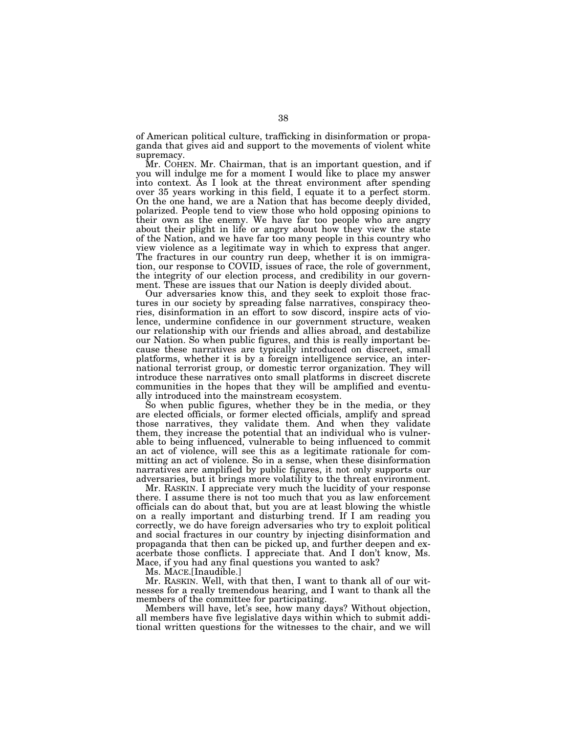of American political culture, trafficking in disinformation or propaganda that gives aid and support to the movements of violent white supremacy.

Mr. COHEN. Mr. Chairman, that is an important question, and if you will indulge me for a moment I would like to place my answer into context. As I look at the threat environment after spending over 35 years working in this field, I equate it to a perfect storm. On the one hand, we are a Nation that has become deeply divided, polarized. People tend to view those who hold opposing opinions to their own as the enemy. We have far too people who are angry about their plight in life or angry about how they view the state of the Nation, and we have far too many people in this country who view violence as a legitimate way in which to express that anger. The fractures in our country run deep, whether it is on immigration, our response to COVID, issues of race, the role of government, the integrity of our election process, and credibility in our government. These are issues that our Nation is deeply divided about.

Our adversaries know this, and they seek to exploit those fractures in our society by spreading false narratives, conspiracy theories, disinformation in an effort to sow discord, inspire acts of violence, undermine confidence in our government structure, weaken our relationship with our friends and allies abroad, and destabilize our Nation. So when public figures, and this is really important because these narratives are typically introduced on discreet, small platforms, whether it is by a foreign intelligence service, an international terrorist group, or domestic terror organization. They will introduce these narratives onto small platforms in discreet discrete communities in the hopes that they will be amplified and eventually introduced into the mainstream ecosystem.

So when public figures, whether they be in the media, or they are elected officials, or former elected officials, amplify and spread those narratives, they validate them. And when they validate them, they increase the potential that an individual who is vulnerable to being influenced, vulnerable to being influenced to commit an act of violence, will see this as a legitimate rationale for committing an act of violence. So in a sense, when these disinformation narratives are amplified by public figures, it not only supports our adversaries, but it brings more volatility to the threat environment.

Mr. RASKIN. I appreciate very much the lucidity of your response there. I assume there is not too much that you as law enforcement officials can do about that, but you are at least blowing the whistle on a really important and disturbing trend. If I am reading you correctly, we do have foreign adversaries who try to exploit political and social fractures in our country by injecting disinformation and propaganda that then can be picked up, and further deepen and exacerbate those conflicts. I appreciate that. And I don't know, Ms. Mace, if you had any final questions you wanted to ask?

Ms. MACE.[Inaudible.]

Mr. RASKIN. Well, with that then, I want to thank all of our witnesses for a really tremendous hearing, and I want to thank all the members of the committee for participating.

Members will have, let's see, how many days? Without objection, all members have five legislative days within which to submit additional written questions for the witnesses to the chair, and we will